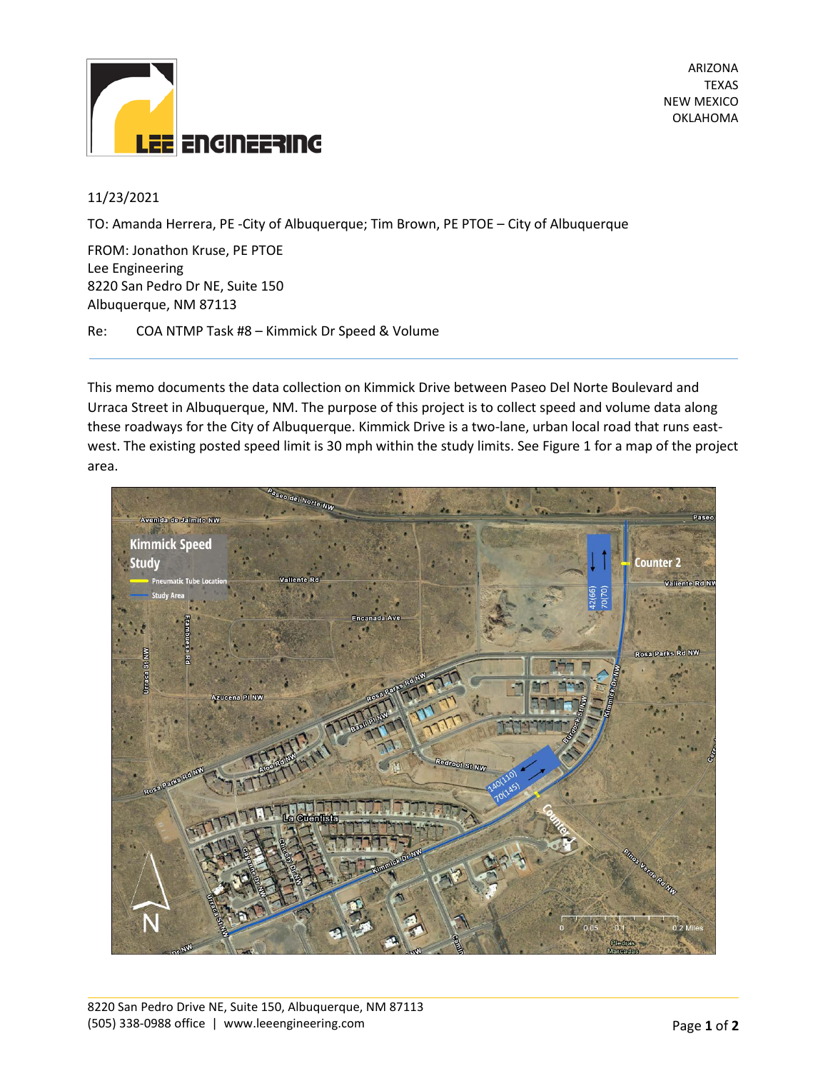

ARIZONA TEXAS NEW MEXICO OKLAHOMA

# 11/23/2021

TO: Amanda Herrera, PE -City of Albuquerque; Tim Brown, PE PTOE – City of Albuquerque

FROM: Jonathon Kruse, PE PTOE Lee Engineering 8220 San Pedro Dr NE, Suite 150 Albuquerque, NM 87113

Re: COA NTMP Task #8 – Kimmick Dr Speed & Volume

This memo documents the data collection on Kimmick Drive between Paseo Del Norte Boulevard and Urraca Street in Albuquerque, NM. The purpose of this project is to collect speed and volume data along these roadways for the City of Albuquerque. Kimmick Drive is a two-lane, urban local road that runs eastwest. The existing posted speed limit is 30 mph within the study limits. See Figure 1 for a map of the project area.

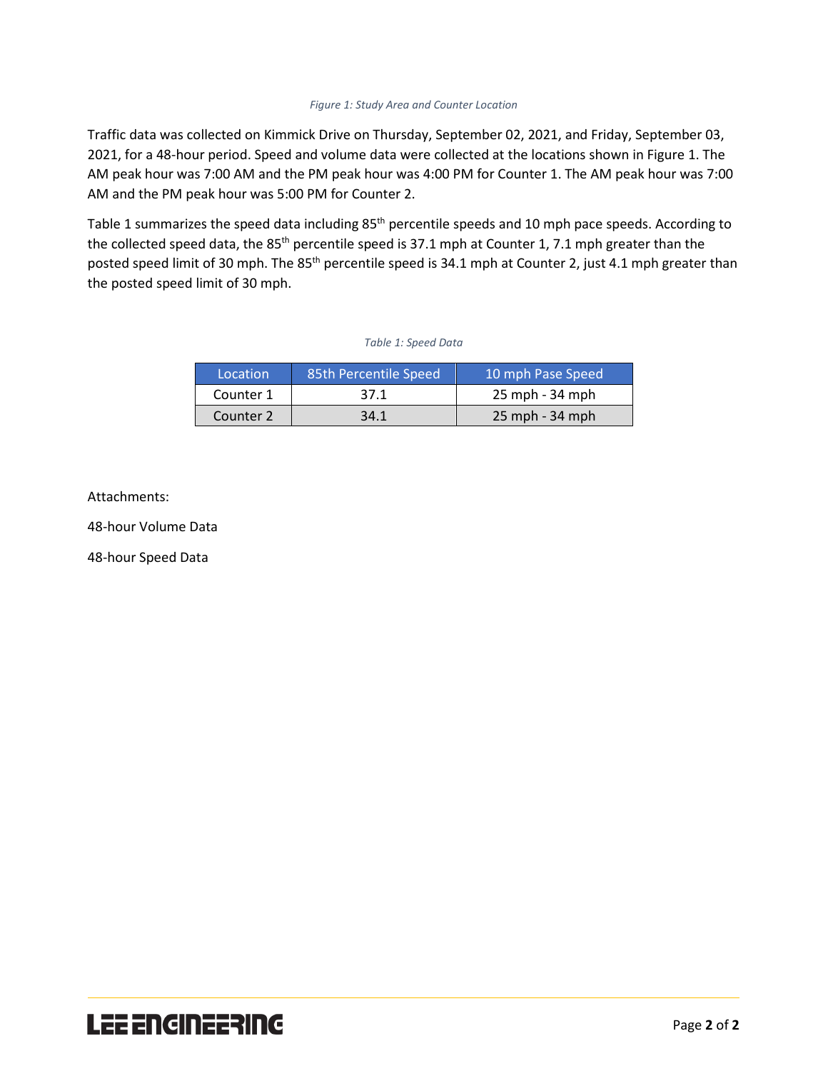## *Figure 1: Study Area and Counter Location*

Traffic data was collected on Kimmick Drive on Thursday, September 02, 2021, and Friday, September 03, 2021, for a 48-hour period. Speed and volume data were collected at the locations shown in Figure 1. The AM peak hour was 7:00 AM and the PM peak hour was 4:00 PM for Counter 1. The AM peak hour was 7:00 AM and the PM peak hour was 5:00 PM for Counter 2.

Table 1 summarizes the speed data including 85<sup>th</sup> percentile speeds and 10 mph pace speeds. According to the collected speed data, the 85<sup>th</sup> percentile speed is 37.1 mph at Counter 1, 7.1 mph greater than the posted speed limit of 30 mph. The 85<sup>th</sup> percentile speed is 34.1 mph at Counter 2, just 4.1 mph greater than the posted speed limit of 30 mph.

### *Table 1: Speed Data*

| Location  | 85th Percentile Speed | 10 mph Pase Speed |
|-----------|-----------------------|-------------------|
| Counter 1 | 37.1                  | 25 mph - 34 mph   |
| Counter 2 | 34.1                  | 25 mph - 34 mph   |

Attachments:

48-hour Volume Data

48-hour Speed Data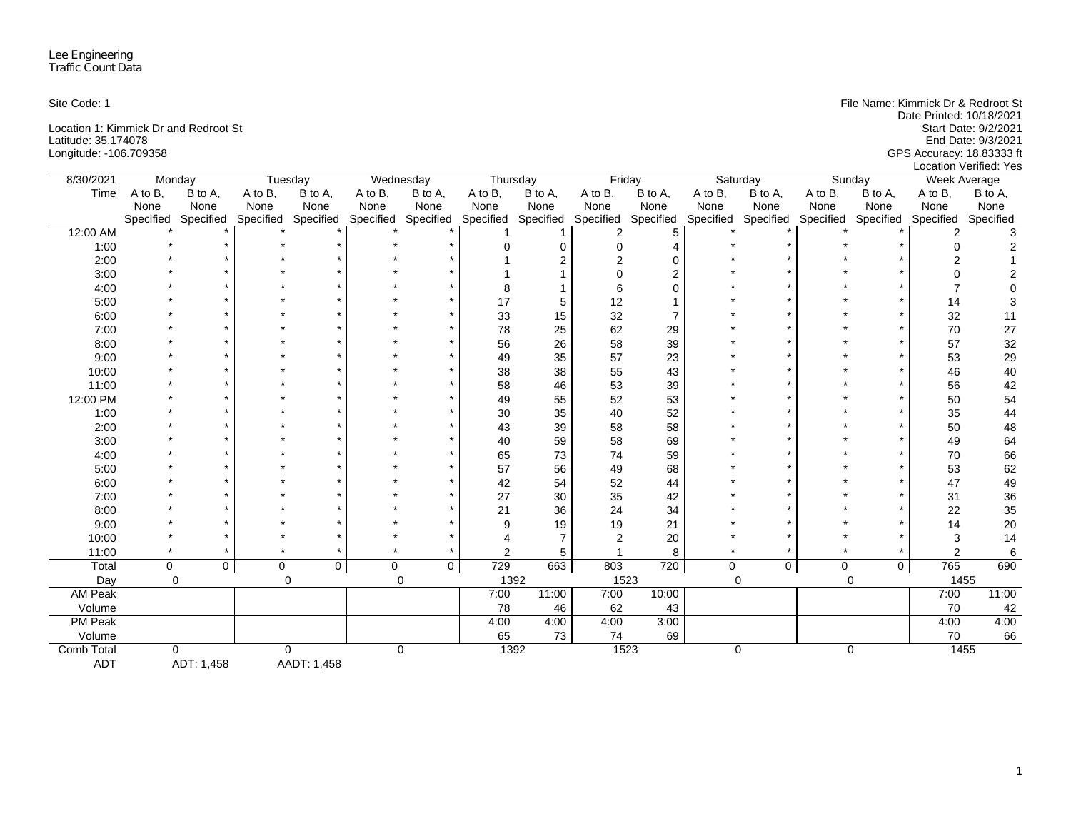Latitude: 35.174078 End Date: 9/3/2021

Site Code: 1 File Name: Kimmick Dr & Redroot St Date Printed: 10/18/2021 Location 1: Kimmick Dr and Redroot St<br>
Latitude: 35.174078 Find Date: 9/3/2021 Longitude: -106.709358 GPS Accuracy: 18.83333 ft Location Verified: Yes

| 8/30/2021      | Monday    |             |             | Tuesday             |             | Wednesday           | Thursday         |                | Friday         |           |             | Saturday     |             | Sunday              |           | Week Average |
|----------------|-----------|-------------|-------------|---------------------|-------------|---------------------|------------------|----------------|----------------|-----------|-------------|--------------|-------------|---------------------|-----------|--------------|
| Time           | A to B,   | B to A,     | A to B,     | B to A,             | A to B,     | B to A,             | A to B.          | B to A,        | A to B,        | B to A,   | A to B,     | B to A,      | A to B,     | B to A,             | A to B,   | B to A,      |
|                | None      | None        | None        | None                | None        | None                | None             | None           | None           | None      | None        | None         | None        | None                | None      | None         |
|                | Specified | Specified   |             | Specified Specified |             | Specified Specified | Specified        | Specified      | Specified      | Specified | Specified   | Specified    |             | Specified Specified | Specified | Specified    |
| 12:00 AM       |           |             |             |                     |             |                     |                  |                | $\overline{2}$ | 5         |             |              |             |                     | 2         |              |
| 1:00           |           |             |             |                     |             |                     |                  | $\Omega$       | 0              |           |             |              |             |                     |           |              |
| 2:00           |           |             |             |                     |             |                     |                  |                | $\overline{2}$ | U         |             |              |             |                     |           |              |
| 3:00           |           |             |             |                     |             |                     |                  |                | $\Omega$       | 2         |             |              |             |                     |           |              |
| 4:00           |           |             |             |                     |             |                     |                  |                | 6              |           |             |              |             |                     |           |              |
| 5:00           |           |             |             |                     |             |                     | 17               | 5              | 12             |           |             |              |             |                     | 14        |              |
| 6:00           |           |             |             |                     |             |                     | 33               | 15             | 32             |           |             |              |             |                     | 32        | 11           |
| 7:00           |           |             |             |                     |             |                     | 78               | 25             | 62             | 29        |             |              |             |                     | 70        | 27           |
| 8:00           |           |             |             |                     |             |                     | 56               | 26             | 58             | 39        |             |              |             |                     | 57        | 32           |
| 9:00           |           |             |             |                     |             |                     | 49               | 35             | 57             | 23        |             |              |             |                     | 53        | 29           |
| 10:00          |           |             |             |                     |             |                     | 38               | 38             | 55             | 43        |             |              |             |                     | 46        | 40           |
| 11:00          |           |             |             |                     |             |                     | 58               | 46             | 53             | 39        |             |              |             |                     | 56        | 42           |
| 12:00 PM       |           |             |             |                     |             |                     | 49               | 55             | 52             | 53        |             |              |             |                     | 50        | 54           |
| 1:00           |           |             |             |                     |             |                     | 30               | 35             | 40             | 52        |             |              |             |                     | 35        | 44           |
| 2:00           |           |             |             |                     |             |                     | 43               | 39             | 58             | 58        |             |              |             |                     | 50        | 48           |
| 3:00           |           |             |             |                     |             |                     | 40               | 59             | 58             | 69        |             |              |             |                     | 49        | 64           |
| 4:00           |           |             |             |                     |             |                     | 65               | 73             | 74             | 59        |             |              |             |                     | 70        | 66           |
| 5:00           |           |             |             |                     |             |                     | 57               | 56             | 49             | 68        |             |              |             |                     | 53        | 62           |
| 6:00           |           |             |             |                     |             |                     | 42               | 54             | 52             | 44        |             |              |             |                     | 47        | 49           |
| 7:00           |           |             |             |                     |             |                     | 27               | 30             | 35             | 42        |             |              |             |                     | 31        | 36           |
| 8:00           |           |             |             |                     |             |                     | 21               | 36             | 24             | 34        |             |              |             |                     | 22        | 35           |
| 9:00           |           |             |             |                     |             |                     | я                | 19             | 19             | 21        |             |              |             |                     | 14        | 20           |
| 10:00          |           |             |             |                     |             |                     |                  | $\overline{7}$ | $\overline{2}$ | 20        |             |              |             |                     | 3         | 14           |
| 11:00          |           |             |             |                     |             |                     | 2                | 5              |                | 8         |             |              |             |                     | 2         | $\,6\,$      |
| Total          | $\Omega$  | $\mathbf 0$ | $\mathbf 0$ | $\mathbf 0$         | $\mathbf 0$ | $\Omega$            | $\overline{729}$ | 663            | 803            | 720       | $\mathbf 0$ | $\mathbf{0}$ | $\mathbf 0$ | $\mathbf{0}$        | 765       | 690          |
| Day            | $\Omega$  |             |             | $\mathbf 0$         |             | $\mathbf 0$         | 1392             |                | 1523           |           |             | $\Omega$     |             | $\mathbf 0$         |           | 1455         |
| AM Peak        |           |             |             |                     |             |                     | 7:00             | 11:00          | 7:00           | 10:00     |             |              |             |                     | 7:00      | 11:00        |
| Volume         |           |             |             |                     |             |                     | 78               | 46             | 62             | 43        |             |              |             |                     | 70        | 42           |
| <b>PM Peak</b> |           |             |             |                     |             |                     | 4:00             | 4:00           | 4:00           | 3:00      |             |              |             |                     | 4:00      | 4:00         |
| Volume         |           |             |             |                     |             |                     | 65               | 73             | 74             | 69        |             |              |             |                     | 70        | 66           |
| Comb Total     |           | 0           |             | 0                   |             | 0                   | 1392             |                | 1523           |           |             | $\mathbf 0$  |             | $\mathbf 0$         |           | 1455         |

ADT ADT: 1,458 AADT: 1,458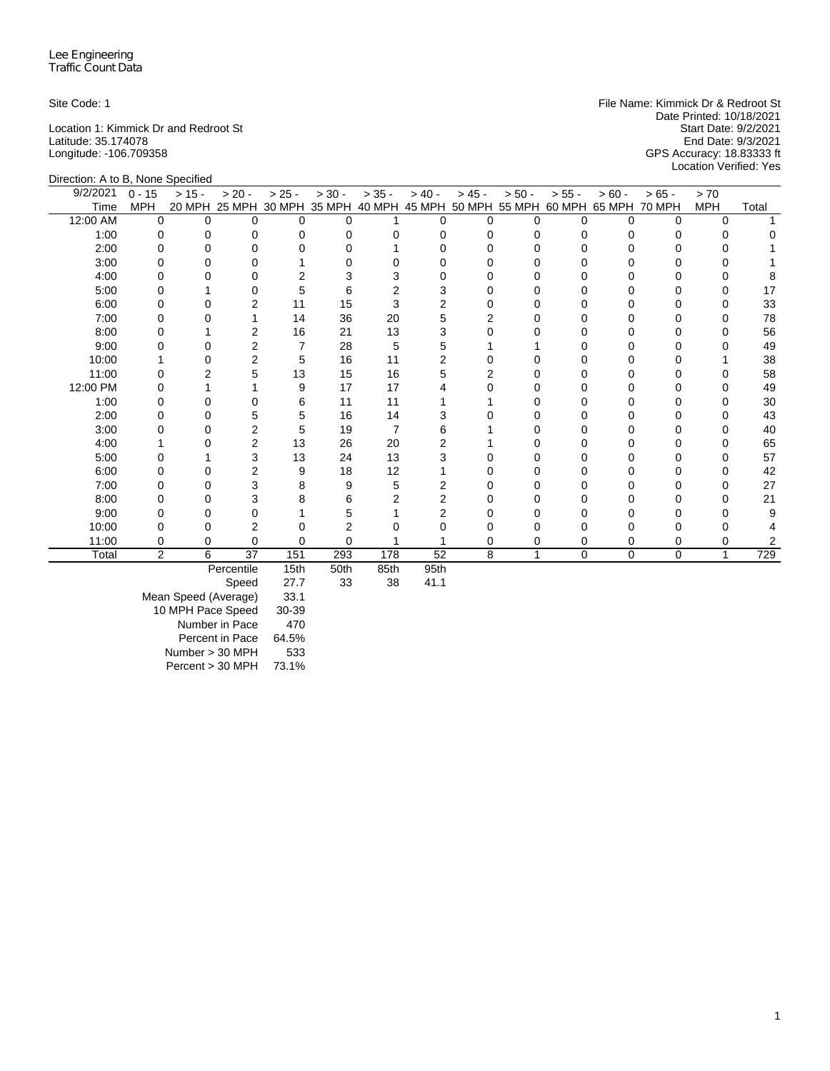Latitude: 35.174078<br>Latitude: 93.174078<br>Longitude: -106.709358

Site Code: 1 **File Name: Kimmick Dr & Redroot St** File Name: Kimmick Dr & Redroot St Date Printed: 10/18/2021<br>Start Date: 9/2/2021 Location 1: Kimmick Dr and Redroot St Start Date: 9/2/2021<br>
Latitude: 35.174078 Find Date: 9/3/2021 Longitude: -106.709358 GPS Accuracy: 18.83333 ft Location Verified: Yes

| Direction: A to B, None Specified |                |          |                |                |                             |                |          |                |                      |              |               |               |            |       |
|-----------------------------------|----------------|----------|----------------|----------------|-----------------------------|----------------|----------|----------------|----------------------|--------------|---------------|---------------|------------|-------|
| $\sqrt{9}/2/2021$                 | $0 - 15$       | $> 15 -$ | $> 20 -$       | $> 25 -$       | $> 30 -$                    | $> 35 -$       | $> 40 -$ | $> 45 -$       | $> 50 -$             | $> 55 -$     | $> 60 -$      | $> 65 -$      | > 70       |       |
| Time                              | <b>MPH</b>     | 20 MPH   |                |                | 25 MPH 30 MPH 35 MPH 40 MPH |                |          |                | 45 MPH 50 MPH 55 MPH |              | 60 MPH 65 MPH | <b>70 MPH</b> | <b>MPH</b> | Total |
| 12:00 AM                          | $\Omega$       | $\Omega$ | 0              | 0              | $\Omega$                    |                | 0        | 0              | <sup>0</sup>         | $\Omega$     | $\Omega$      | 0             | 0          |       |
| 1:00                              | 0              | 0        | 0              | 0              | 0                           | 0              | 0        | 0              | 0                    | 0            | 0             | 0             | O          |       |
| 2:00                              | 0              |          | O              |                | O                           |                |          | O              |                      | O            |               |               |            |       |
| 3:00                              | 0              |          | 0              |                | O                           |                |          | $\Omega$       | O                    | U            | 0             |               |            |       |
| 4:00                              | O              |          | 0              | 2              | 3                           |                |          | Ω              | n                    | O            |               |               |            |       |
| 5:00                              | U              |          | 0              | 5              | 6                           |                |          | O              | O                    | <sup>0</sup> |               |               | O          | 17    |
| 6:00                              | $\Omega$       | 0        | $\overline{2}$ | 11             | 15                          | 3              | 2        | 0              | 0                    | 0            | 0             |               | 0          | 33    |
| 7:00                              | O              |          |                | 14             | 36                          | 20             | 5        | $\overline{2}$ | U                    | O            | 0             | ŋ             | O          | 78    |
| 8:00                              |                |          | $\overline{2}$ | 16             | 21                          | 13             | 3        |                |                      | 0            |               |               |            | 56    |
| 9:00                              |                |          | $\overline{2}$ | $\overline{7}$ | 28                          | 5              |          |                |                      | O            |               |               |            | 49    |
| 10:00                             |                |          | $\overline{2}$ | 5              | 16                          | 11             |          | 0              | 0                    | 0            | 0             | O             |            | 38    |
| 11:00                             | 0              |          | 5              | 13             | 15                          | 16             |          | 2              | 0                    | 0            |               |               |            | 58    |
| 12:00 PM                          | ი              |          |                | 9              | 17                          | 17             |          | ∩              | o                    | <sup>0</sup> |               |               | O          | 49    |
| 1:00                              | 0              |          | 0              | 6              | 11                          | 11             |          |                | 0                    | 0            | 0             |               | 0          | 30    |
| 2:00                              | 0              | 0        | 5              | 5              | 16                          | 14             |          |                | 0                    | 0            | 0             | 0             | 0          | 43    |
| 3:00                              |                |          | $\overline{2}$ | 5              | 19                          | $\overline{7}$ | h        |                |                      | 0            |               |               |            | 40    |
| 4:00                              |                |          | $\overline{2}$ | 13             | 26                          | 20             |          |                |                      |              |               |               |            | 65    |
| 5:00                              | o              |          | 3              | 13             | 24                          | 13             | з        | 0              | 0                    | 0            | 0             | 0             | 0          | 57    |
| 6:00                              | 0              |          | $\overline{c}$ | 9              | 18                          | 12             |          |                | 0                    | 0            | 0             |               | 0          | 42    |
| 7:00                              | 0              |          | 3              | 8              | 9                           | 5              | 2        |                | o                    | <sup>0</sup> |               |               | 0          | 27    |
| 8:00                              | 0              |          | 3              | 8              | 6                           | 2              | 2        |                | 0                    | 0            | 0             |               | 0          | 21    |
| 9:00                              | O              | 0        | $\Omega$       |                | 5                           |                |          |                | 0                    | O            | O             | U             |            | 9     |
| 10:00                             |                | ი        | 2              |                | 2                           |                |          |                |                      | 0            |               |               |            |       |
| 11:00                             | $\Omega$       | 0        | $\Omega$       | 0              | $\Omega$                    |                |          | 0              | 0                    | 0            | $\Omega$      | 0             | 0          | 2     |
| Total                             | $\overline{2}$ | 6        | 37             | 151            | 293                         | 178            | 52       | 8              |                      | $\Omega$     | $\Omega$      | $\mathbf 0$   | 1          | 729   |
|                                   |                |          | Percentile     | 15th           | 50th                        | 85th           | 95th     |                |                      |              |               |               |            |       |

Speed 27.7 33 38 41.1

Mean Speed (Average) 33.1 10 MPH Pace Speed 30-39 Number in Pace 470 Percent in Pace 64.5% Number > 30 MPH 533 Percent > 30 MPH 73.1%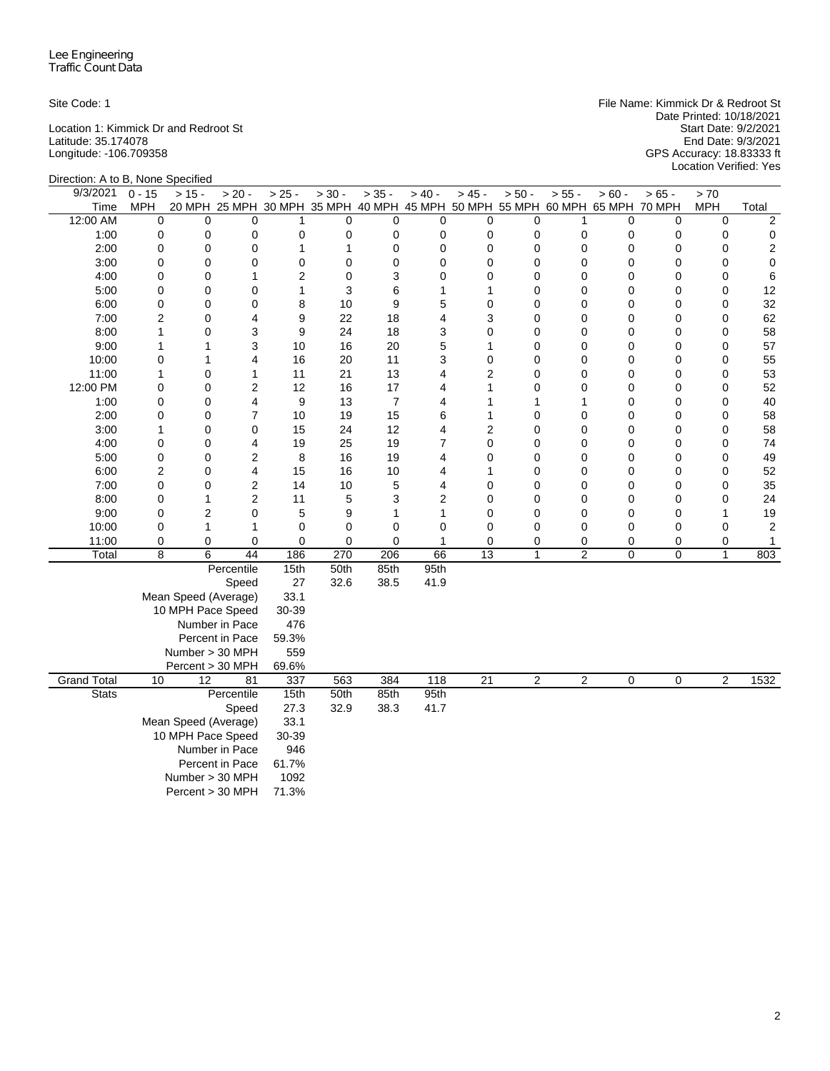Latitude: 35.174078 End Date: 9/3/2021

Site Code: 1 File Name: Kimmick Dr & Redroot St Date Printed: 10/18/2021 Location 1: Kimmick Dr and Redroot St Start Date: 9/2/2021 Longitude: -106.709358 GPS Accuracy: 18.83333 ft Start Date: 9/3/2021<br>End Date: 9/3/2021<br>GPS Accuracy: 18.83333 ft<br>Location Verified: Yes

| Direction: A to B, None Specified |                |                      |                                                                              |                |              |                |             |                 |                |                |             |             |              |                         |
|-----------------------------------|----------------|----------------------|------------------------------------------------------------------------------|----------------|--------------|----------------|-------------|-----------------|----------------|----------------|-------------|-------------|--------------|-------------------------|
| 9/3/2021                          | $0 - 15$       | $> 15 -$             | $> 20 -$                                                                     | $> 25 -$       | $> 30 -$     | $> 35 -$       | $> 40 -$    | $> 45 -$        | $> 50 -$       | $> 55 -$       | $> 60 -$    | $> 65 -$    | > 70         |                         |
| Time                              | MPH            |                      | 20 MPH 25 MPH 30 MPH 35 MPH 40 MPH 45 MPH 50 MPH 55 MPH 60 MPH 65 MPH 70 MPH |                |              |                |             |                 |                |                |             |             | <b>MPH</b>   | Total                   |
| 12:00 AM                          | 0              | $\mathbf 0$          | $\Omega$                                                                     | 1              | $\mathbf 0$  | $\mathbf 0$    | 0           | 0               | 0              | 1              | 0           | $\mathbf 0$ | $\mathbf 0$  | $\overline{c}$          |
| 1:00                              | 0              | 0                    | 0                                                                            | $\mathbf 0$    | 0            | 0              | 0           | 0               | 0              | 0              | 0           | 0           | 0            | 0                       |
| 2:00                              | 0              | 0                    | 0                                                                            | $\mathbf{1}$   | $\mathbf{1}$ | $\mathbf 0$    | $\mathbf 0$ | 0               | 0              | 0              | 0           | $\mathbf 0$ | $\mathbf 0$  | $\sqrt{2}$              |
| 3:00                              | 0              | 0                    | 0                                                                            | 0              | 0            | $\mathbf 0$    | 0           | 0               | 0              | 0              | 0           | 0           | 0            | $\mathbf 0$             |
| 4:00                              | 0              | 0                    | 1                                                                            | $\overline{2}$ | 0            | 3              | 0           | $\Omega$        | 0              | 0              | 0           | 0           | 0            | 6                       |
| 5:00                              | 0              | 0                    | 0                                                                            | $\mathbf{1}$   | 3            | 6              | 1           | 1               | 0              | $\mathbf 0$    | 0           | 0           | $\mathbf 0$  | 12                      |
| 6:00                              | 0              | 0                    | 0                                                                            | 8              | 10           | 9              | 5           | 0               | 0              | 0              | 0           | $\mathbf 0$ | $\mathbf 0$  | 32                      |
| 7:00                              | $\overline{c}$ | 0                    | 4                                                                            | 9              | 22           | 18             | 4           | 3               | 0              | 0              | 0           | 0           | $\mathbf 0$  | 62                      |
| 8:00                              | $\mathbf{1}$   | 0                    | 3                                                                            | 9              | 24           | 18             | 3           | $\overline{0}$  | 0              | $\mathbf 0$    | 0           | $\mathbf 0$ | $\mathbf 0$  | 58                      |
| 9:00                              | 1              | 1                    | 3                                                                            | 10             | 16           | 20             | 5           | 1               | 0              | 0              | 0           | $\mathbf 0$ | $\mathbf 0$  | 57                      |
| 10:00                             | 0              | 1                    | $\overline{4}$                                                               | 16             | 20           | 11             | 3           | 0               | 0              | 0              | 0           | $\mathbf 0$ | $\mathbf 0$  | 55                      |
| 11:00                             | 1              | 0                    | 1                                                                            | 11             | 21           | 13             | 4           | $\overline{2}$  | 0              | 0              | 0           | 0           | $\mathbf 0$  | 53                      |
| 12:00 PM                          | 0              | 0                    | $\overline{2}$                                                               | 12             | 16           | 17             | 4           | 1               | 0              | 0              | 0           | $\mathbf 0$ | $\mathbf 0$  | 52                      |
| 1:00                              | 0              | 0                    | 4                                                                            | 9              | 13           | $\overline{7}$ | 4           | 1               | 1              | $\mathbf{1}$   | 0           | $\mathbf 0$ | 0            | 40                      |
| 2:00                              | 0              | 0                    | $\overline{7}$                                                               | 10             | 19           | 15             | 6           | 1               | 0              | 0              | 0           | 0           | $\mathbf 0$  | 58                      |
| 3:00                              | 1              | 0                    | 0                                                                            | 15             | 24           | 12             | 4           | $\overline{c}$  | 0              | $\mathbf 0$    | 0           | 0           | $\mathbf 0$  | 58                      |
| 4:00                              | 0              | 0                    | 4                                                                            | 19             | 25           | 19             | 7           | 0               | 0              | 0              | 0           | 0           | 0            | 74                      |
| 5:00                              | 0              | 0                    | $\overline{2}$                                                               | 8              | 16           | 19             | 4           | $\overline{0}$  | 0              | 0              | 0           | 0           | $\mathbf 0$  | 49                      |
| 6:00                              | $\overline{c}$ | 0                    | 4                                                                            | 15             | 16           | 10             | 4           | 1               | 0              | 0              | 0           | $\mathbf 0$ | $\mathbf 0$  | 52                      |
| 7:00                              | 0              | 0                    | $\overline{2}$                                                               | 14             | 10           | 5              | 4           | 0               | 0              | 0              | 0           | $\mathbf 0$ | 0            | 35                      |
| 8:00                              | 0              | 1                    | $\overline{2}$                                                               | 11             | 5            | 3              | 2           | 0               | 0              | 0              | 0           | 0           | $\mathbf 0$  | 24                      |
| 9:00                              | 0              | 2                    | 0                                                                            | 5              | 9            | 1              | 1           | 0               | 0              | 0              | 0           | $\pmb{0}$   | $\mathbf{1}$ | 19                      |
| 10:00                             | 0              | 1                    | $\mathbf{1}$                                                                 | 0              | $\mathbf 0$  | $\mathbf 0$    | 0           | 0               | 0              | $\mathbf 0$    | 0           | 0           | $\mathbf 0$  | $\overline{\mathbf{c}}$ |
| 11:00                             | 0              | 0                    | 0                                                                            | $\mathbf 0$    | $\mathbf 0$  | $\mathbf 0$    | 1           | 0               | 0              | 0              | 0           | 0           | $\mathbf 0$  | 1                       |
| Total                             | 8              | 6                    | 44                                                                           | 186            | 270          | 206            | 66          | 13              | $\mathbf{1}$   | $\overline{c}$ | 0           | $\mathbf 0$ | $\mathbf{1}$ | 803                     |
|                                   |                |                      | Percentile                                                                   | 15th           | 50th         | 85th           | 95th        |                 |                |                |             |             |              |                         |
|                                   |                |                      | Speed                                                                        | 27             | 32.6         | 38.5           | 41.9        |                 |                |                |             |             |              |                         |
|                                   |                | Mean Speed (Average) |                                                                              | 33.1           |              |                |             |                 |                |                |             |             |              |                         |
|                                   |                | 10 MPH Pace Speed    |                                                                              | 30-39          |              |                |             |                 |                |                |             |             |              |                         |
|                                   |                |                      | Number in Pace                                                               | 476            |              |                |             |                 |                |                |             |             |              |                         |
|                                   |                |                      | Percent in Pace                                                              | 59.3%          |              |                |             |                 |                |                |             |             |              |                         |
|                                   |                | Number > 30 MPH      |                                                                              | 559            |              |                |             |                 |                |                |             |             |              |                         |
|                                   |                | Percent > 30 MPH     |                                                                              | 69.6%          |              |                |             |                 |                |                |             |             |              |                         |
| <b>Grand Total</b>                | 10             | 12                   | 81                                                                           | 337            | 563          | 384            | 118         | $\overline{21}$ | $\overline{2}$ | $\overline{2}$ | $\mathbf 0$ | 0           | 2            | 1532                    |
| <b>Stats</b>                      |                |                      | Percentile                                                                   | 15th           | 50th         | 85th           | 95th        |                 |                |                |             |             |              |                         |
|                                   |                |                      | Speed                                                                        | 27.3           | 32.9         | 38.3           | 41.7        |                 |                |                |             |             |              |                         |
|                                   |                | Mean Speed (Average) |                                                                              | 33.1           |              |                |             |                 |                |                |             |             |              |                         |
|                                   |                | 10 MPH Pace Speed    |                                                                              | 30-39          |              |                |             |                 |                |                |             |             |              |                         |
|                                   |                |                      | Number in Pace                                                               | 946            |              |                |             |                 |                |                |             |             |              |                         |
|                                   |                |                      | Percent in Pace                                                              | 61.7%          |              |                |             |                 |                |                |             |             |              |                         |
|                                   |                | Number > 30 MPH      |                                                                              | 1092           |              |                |             |                 |                |                |             |             |              |                         |
|                                   |                | Percent > 30 MPH     |                                                                              | 71.3%          |              |                |             |                 |                |                |             |             |              |                         |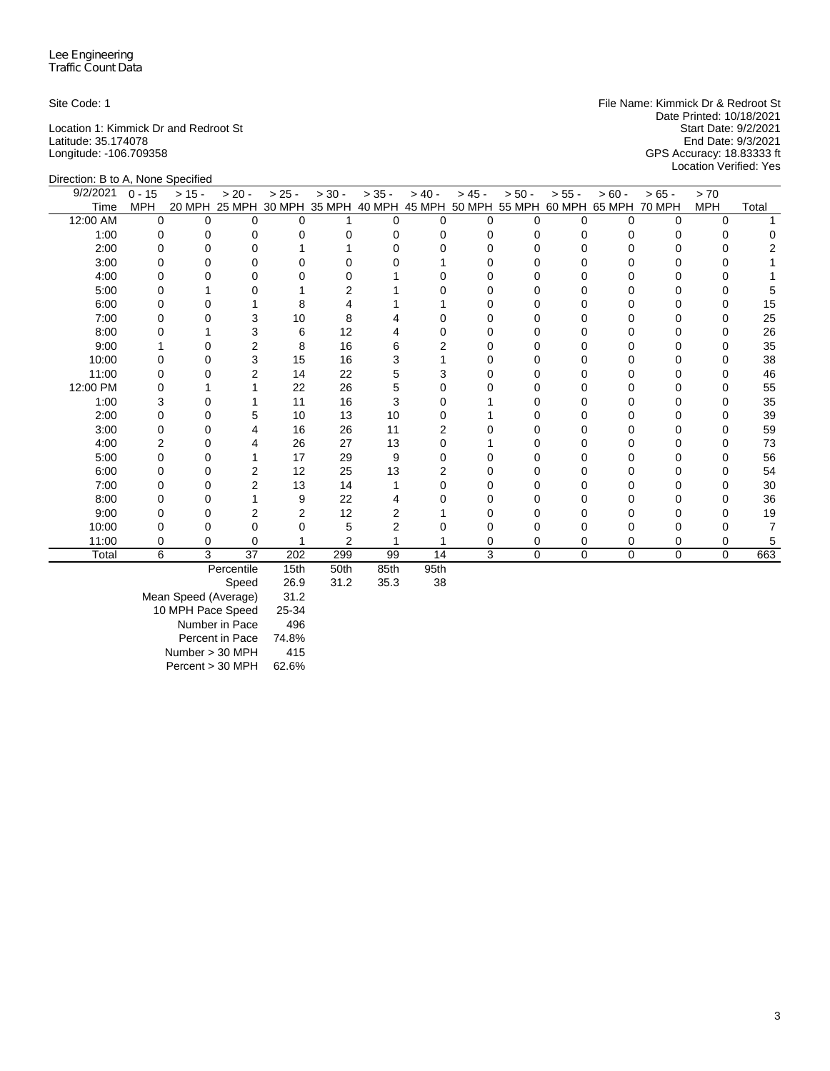Latitude: 35.174078<br>Latitude: -106.709358

Site Code: 1 **File Name: Kimmick Dr & Redroot St** File Name: Kimmick Dr & Redroot St Date Printed: 10/18/2021<br>Start Date: 9/2/2021 Location 1: Kimmick Dr and Redroot St Start Date: 9/2/2021<br>
Latitude: 35.174078 For Start Date: 9/3/2021 Longitude: -106.709358 GPS Accuracy: 18.83333 ft Location Verified: Yes

| Direction: B to A, None Specified |            |          |                      |                |          |          |                  |          |                                    |          |             |               |            |       |
|-----------------------------------|------------|----------|----------------------|----------------|----------|----------|------------------|----------|------------------------------------|----------|-------------|---------------|------------|-------|
| 9/2/2021                          | $0 - 15$   | $> 15 -$ | $> 20 -$             | $> 25 -$       | $> 30 -$ | $> 35 -$ | $> 40 -$         | $> 45 -$ | $> 50 -$                           | $> 55 -$ | $> 60 -$    | $> 65 -$      | > 70       |       |
| Time                              | <b>MPH</b> |          | 20 MPH 25 MPH 30 MPH |                | 35 MPH   |          |                  |          | 40 MPH 45 MPH 50 MPH 55 MPH 60 MPH |          | 65 MPH      | <b>70 MPH</b> | <b>MPH</b> | Total |
| 12:00 AM                          | $\Omega$   | $\Omega$ | $\Omega$             | O              |          | $\Omega$ | $\Omega$         | $\Omega$ | U                                  | O        | $\Omega$    | $\Omega$      | $\Omega$   |       |
| 1:00                              | $\Omega$   |          | $\Omega$             |                |          |          | n                | 0        |                                    | 0        |             | U             |            |       |
| 2:00                              | U          |          | O                    |                |          |          |                  |          |                                    |          |             |               |            |       |
| 3:00                              | U          |          | 0                    |                |          |          |                  | O        |                                    |          |             |               |            |       |
| 4:00                              |            |          | 0                    |                |          |          |                  |          |                                    |          |             |               |            |       |
| 5:00                              | n          |          | ∩                    |                | 2        |          |                  |          |                                    | n        |             |               |            |       |
| 6:00                              | O          |          |                      | 8              |          |          |                  | O        |                                    |          |             |               |            | 15    |
| 7:00                              |            |          | 3                    | 10             | 8        |          |                  | n        |                                    | ი        |             |               |            | 25    |
| 8:00                              |            |          | 3                    | 6              | 12       |          |                  |          |                                    | n        |             |               | U          | 26    |
| 9:00                              |            |          | $\overline{2}$       | 8              | 16       |          |                  |          |                                    |          |             |               |            | 35    |
| 10:00                             | O          |          | 3                    | 15             | 16       |          |                  | ი        |                                    | U        | O           | O             | O          | 38    |
| 11:00                             |            |          | $\overline{2}$       | 14             | 22       | 5        | 3                |          |                                    |          |             |               |            | 46    |
| 12:00 PM                          |            |          |                      | 22             | 26       | 5        |                  |          |                                    |          |             |               |            | 55    |
| 1:00                              | 3          |          |                      | 11             | 16       | 3        | n                |          |                                    | U        | O           | n             | U          | 35    |
| 2:00                              | 0          |          | 5                    | 10             | 13       | 10       |                  |          |                                    | Ω        |             |               |            | 39    |
| 3:00                              | 0          |          |                      | 16             | 26       | 11       |                  |          |                                    | n        |             |               |            | 59    |
| 4:00                              | 2          |          |                      | 26             | 27       | 13       |                  |          |                                    |          |             |               |            | 73    |
| 5:00                              | U          |          |                      | 17             | 29       | 9        |                  |          |                                    |          |             |               |            | 56    |
| 6:00                              | U          | O        | 2                    | 12             | 25       | 13       | 2                |          |                                    | Ω        |             |               |            | 54    |
| 7:00                              | 0          | 0        | $\overline{2}$       | 13             | 14       |          | n                |          |                                    |          |             |               |            | 30    |
| 8:00                              | O          | U        |                      | 9              | 22       |          |                  | O        |                                    | U        |             |               |            | 36    |
| 9:00                              |            |          | $\overline{2}$       | $\overline{2}$ | 12       |          |                  |          |                                    |          |             |               |            | 19    |
| 10:00                             |            | 0        | U                    |                | 5        |          |                  |          |                                    |          |             |               |            |       |
| 11:00                             | 0          | 0        | $\Omega$             |                | 2        |          |                  | 0        |                                    | 0        | 0           | 0             | 0          | 5     |
| Total                             | 6          | 3        | 37                   | 202            | 299      | 99       | 14               | 3        | 0                                  | $\Omega$ | $\mathbf 0$ | 0             | $\Omega$   | 663   |
|                                   |            |          | Percentile           | 15th           | 50th     | 85th     | Q <sub>5th</sub> |          |                                    |          |             |               |            |       |

Percentile 15th 50th 85th 95th

Speed

Mean Speed (Average) 31.2 10 MPH Pace Speed 25-34 Number in Pace 496 Percent in Pace 74.8%  $Number > 30 MPH$  415 Percent > 30 MPH 62.6%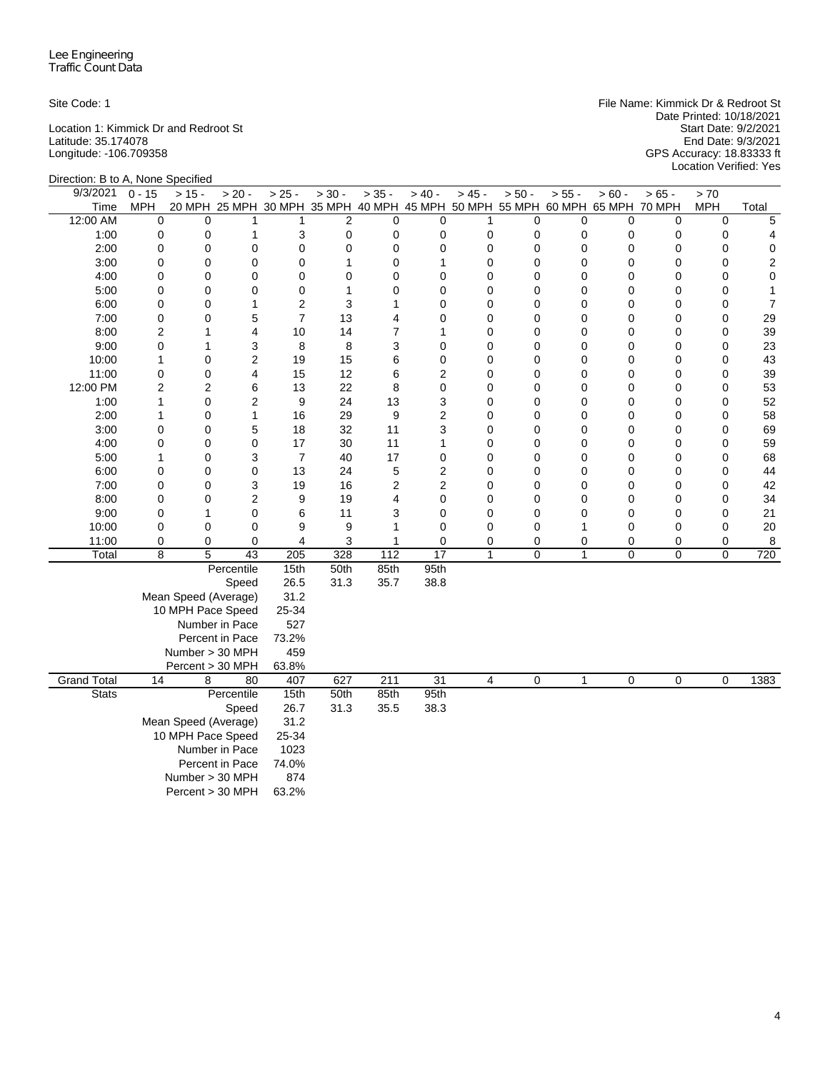Latitude: 35.174078 End Date: 9/3/2021

Site Code: 1 File Name: Kimmick Dr & Redroot St Date Printed: 10/18/2021 Location 1: Kimmick Dr and Redroot St Start Date: 9/2/2021 Longitude: -106.709358 GPS Accuracy: 18.83333 ft Start Date: 9/3/2021<br>End Date: 9/3/2021<br>GPS Accuracy: 18.83333 ft<br>Location Verified: Yes

| Direction: B to A, None Specified |                |                      |                 |                |                |                  |                 |                |          |              |                                                                              |             |             |                |
|-----------------------------------|----------------|----------------------|-----------------|----------------|----------------|------------------|-----------------|----------------|----------|--------------|------------------------------------------------------------------------------|-------------|-------------|----------------|
| 9/3/2021                          | $0 - 15$       | $> 15 -$             | $> 20 -$        | $> 25 -$       | $> 30 -$       | $> 35 -$         | $> 40 -$        | $> 45 -$       | $> 50 -$ | $> 55 -$     | $> 60 -$                                                                     | $> 65 -$    | > 70        |                |
| Time                              | MPH            |                      |                 |                |                |                  |                 |                |          |              | 20 MPH 25 MPH 30 MPH 35 MPH 40 MPH 45 MPH 50 MPH 55 MPH 60 MPH 65 MPH 70 MPH |             | <b>MPH</b>  | Total          |
| 12:00 AM                          | 0              | $\mathbf 0$          | 1               | 1              | $\overline{2}$ | $\mathbf 0$      | $\mathbf 0$     | 1              | 0        | 0            | 0                                                                            | 0           | $\mathbf 0$ | 5              |
| 1:00                              | 0              | 0                    | $\mathbf{1}$    | 3              | $\mathbf 0$    | 0                | 0               | 0              | 0        | 0            | 0                                                                            | 0           | 0           | 4              |
| 2:00                              | 0              | 0                    | 0               | 0              | $\mathbf 0$    | $\Omega$         | 0               | 0              | 0        | $\mathbf 0$  | 0                                                                            | $\mathbf 0$ | $\mathbf 0$ | $\mathbf 0$    |
| 3:00                              | 0              | 0                    | 0               | $\mathbf 0$    | 1              | $\mathbf 0$      | 1               | 0              | 0        | $\mathbf 0$  | 0                                                                            | 0           | $\mathbf 0$ | $\overline{c}$ |
| 4:00                              | 0              | 0                    | 0               | $\mathbf 0$    | $\mathbf 0$    | 0                | 0               | 0              | 0        | 0            | 0                                                                            | $\mathbf 0$ | $\mathbf 0$ | $\mathbf 0$    |
| 5:00                              | 0              | 0                    | $\Omega$        | $\mathbf 0$    | 1              | 0                | 0               | 0              | 0        | $\mathbf 0$  | $\Omega$                                                                     | $\mathbf 0$ | 0           | 1              |
| 6:00                              | 0              | 0                    | 1               | $\overline{2}$ | 3              | 1                | 0               | 0              | 0        | 0            | 0                                                                            | 0           | $\mathbf 0$ | $\overline{7}$ |
| 7:00                              | 0              | 0                    | 5               | $\overline{7}$ | 13             | 4                | 0               | 0              | 0        | 0            | 0                                                                            | 0           | 0           | 29             |
| 8:00                              | $\overline{c}$ | 1                    | 4               | 10             | 14             | $\overline{7}$   | 1               | 0              | 0        | $\mathbf 0$  | 0                                                                            | $\mathbf 0$ | $\mathbf 0$ | 39             |
| 9:00                              | $\mathsf 0$    | 1                    | 3               | 8              | 8              | 3                | 0               | 0              | 0        | 0            | 0                                                                            | 0           | $\mathbf 0$ | 23             |
| 10:00                             | 1              | 0                    | $\overline{c}$  | 19             | 15             | 6                | 0               | 0              | 0        | 0            | 0                                                                            | 0           | $\mathbf 0$ | 43             |
| 11:00                             | $\mathsf 0$    | 0                    | 4               | 15             | 12             | 6                | 2               | 0              | 0        | $\mathbf 0$  | 0                                                                            | $\mathbf 0$ | 0           | 39             |
| 12:00 PM                          | $\overline{c}$ | 2                    | 6               | 13             | 22             | 8                | 0               | $\overline{0}$ | 0        | 0            | 0                                                                            | $\mathbf 0$ | $\mathbf 0$ | 53             |
| 1:00                              | 1              | 0                    | $\overline{2}$  | 9              | 24             | 13               | 3               | $\overline{0}$ | 0        | $\mathbf 0$  | 0                                                                            | $\mathbf 0$ | $\mathbf 0$ | 52             |
| 2:00                              | $\mathbf{1}$   | 0                    | $\mathbf{1}$    | 16             | 29             | 9                | 2               | $\overline{0}$ | 0        | $\mathbf 0$  | 0                                                                            | $\mathbf 0$ | $\mathbf 0$ | 58             |
| 3:00                              | 0              | 0                    | 5               | 18             | 32             | 11               | 3               | $\overline{0}$ | 0        | 0            | 0                                                                            | $\mathbf 0$ | $\mathbf 0$ | 69             |
| 4:00                              | 0              | 0                    | 0               | 17             | 30             | 11               | 1               | 0              | 0        | 0            | 0                                                                            | 0           | $\mathbf 0$ | 59             |
| 5:00                              | $\mathbf{1}$   | 0                    | 3               | $\overline{7}$ | 40             | 17               | 0               | $\overline{0}$ | 0        | $\mathbf 0$  | 0                                                                            | $\mathbf 0$ | $\mathbf 0$ | 68             |
| 6:00                              | 0              | 0                    | 0               | 13             | 24             | 5                | 2               | 0              | 0        | 0            | 0                                                                            | 0           | $\mathbf 0$ | 44             |
| 7:00                              | 0              | 0                    | 3               | 19             | 16             | 2                | 2               | 0              | 0        | 0            | 0                                                                            | $\mathbf 0$ | $\mathbf 0$ | 42             |
| 8:00                              | 0              | 0                    | $\overline{c}$  | 9              | 19             | 4                | 0               | 0              | 0        | $\mathbf 0$  | 0                                                                            | $\mathbf 0$ | $\mathbf 0$ | 34             |
| 9:00                              | 0              | 1                    | 0               | 6              | 11             | 3                | 0               | 0              | 0        | 0            | 0                                                                            | 0           | 0           | 21             |
| 10:00                             | 0              | 0                    | 0               | 9              | 9              | 1                | $\mathbf 0$     | 0              | 0        | 1            | 0                                                                            | $\mathbf 0$ | 0           | 20             |
| 11:00                             | 0              | 0                    | 0               | 4              | 3              | 1                | 0               | 0              | 0        | 0            | 0                                                                            | 0           | 0           | 8              |
| Total                             | $\overline{8}$ | $\overline{5}$       | 43              | 205            | 328            | 112              | $\overline{17}$ | $\mathbf{1}$   | 0        | $\mathbf{1}$ | $\overline{0}$                                                               | $\pmb{0}$   | $\mathbf 0$ | 720            |
|                                   |                |                      | Percentile      | 15th           | 50th           | 85th             | 95th            |                |          |              |                                                                              |             |             |                |
|                                   |                |                      | Speed           | 26.5           | 31.3           | 35.7             | 38.8            |                |          |              |                                                                              |             |             |                |
|                                   |                | Mean Speed (Average) |                 | 31.2           |                |                  |                 |                |          |              |                                                                              |             |             |                |
|                                   |                | 10 MPH Pace Speed    |                 | 25-34          |                |                  |                 |                |          |              |                                                                              |             |             |                |
|                                   |                |                      | Number in Pace  | 527            |                |                  |                 |                |          |              |                                                                              |             |             |                |
|                                   |                |                      | Percent in Pace | 73.2%          |                |                  |                 |                |          |              |                                                                              |             |             |                |
|                                   |                | Number > 30 MPH      |                 | 459            |                |                  |                 |                |          |              |                                                                              |             |             |                |
|                                   |                | Percent > 30 MPH     |                 | 63.8%          |                |                  |                 |                |          |              |                                                                              |             |             |                |
| <b>Grand Total</b>                | 14             | 8                    | 80              | 407            | 627            | $\overline{211}$ | $\overline{31}$ | 4              | 0        | 1            | 0                                                                            | $\mathbf 0$ | $\mathbf 0$ | 1383           |
| <b>Stats</b>                      |                |                      | Percentile      | 15th           | 50th           | 85th             | 95th            |                |          |              |                                                                              |             |             |                |
|                                   |                |                      | Speed           | 26.7           | 31.3           | 35.5             | 38.3            |                |          |              |                                                                              |             |             |                |
|                                   |                | Mean Speed (Average) |                 | 31.2           |                |                  |                 |                |          |              |                                                                              |             |             |                |
|                                   |                | 10 MPH Pace Speed    |                 | 25-34          |                |                  |                 |                |          |              |                                                                              |             |             |                |
|                                   |                |                      | Number in Pace  | 1023           |                |                  |                 |                |          |              |                                                                              |             |             |                |
|                                   |                |                      | Percent in Pace | 74.0%          |                |                  |                 |                |          |              |                                                                              |             |             |                |
|                                   |                | Number > 30 MPH      |                 | 874            |                |                  |                 |                |          |              |                                                                              |             |             |                |
|                                   |                | Percent > 30 MPH     |                 | 63.2%          |                |                  |                 |                |          |              |                                                                              |             |             |                |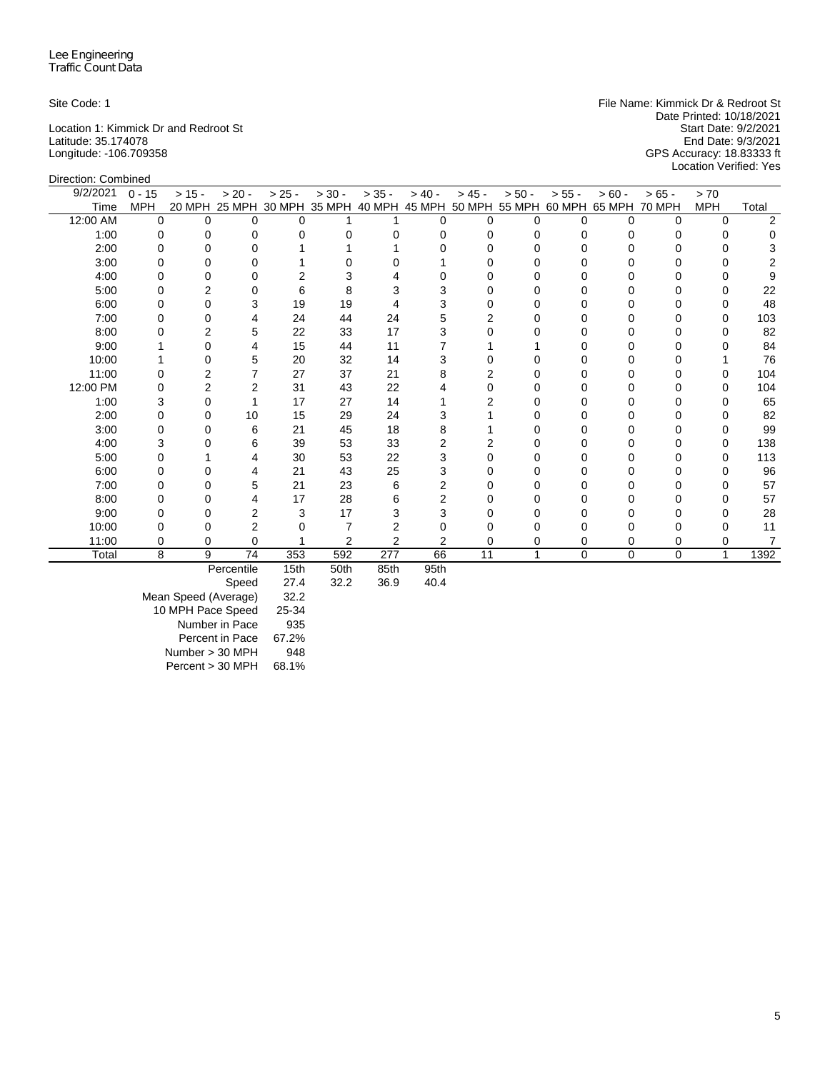Latitude: 35.174078<br>Latitude: 93.174078<br>Longitude: -106.709358

Site Code: 1 **File Name: Kimmick Dr & Redroot St** File Name: Kimmick Dr & Redroot St Date Printed: 10/18/2021<br>Start Date: 9/2/2021 Location 1: Kimmick Dr and Redroot St Start Date: 9/2/2021<br>
Latitude: 35.174078 For Start Date: 9/3/2021 Longitude: -106.709358 GPS Accuracy: 18.83333 ft Location Verified: Yes

| Direction: Combined |            |          |                                                         |          |                |                |          |                |          |              |                      |             |            |       |
|---------------------|------------|----------|---------------------------------------------------------|----------|----------------|----------------|----------|----------------|----------|--------------|----------------------|-------------|------------|-------|
| 9/2/2021            | $0 - 15$   | $> 15 -$ | $> 20 -$                                                | $> 25 -$ | $> 30 -$       | $> 35 -$       | $> 40 -$ | $> 45 -$       | $> 50 -$ | $> 55 -$     | $> 60 -$             | $>65 -$     | > 70       |       |
| Time                | <b>MPH</b> |          | 20 MPH 25 MPH 30 MPH 35 MPH 40 MPH 45 MPH 50 MPH 55 MPH |          |                |                |          |                |          |              | 60 MPH 65 MPH 70 MPH |             | <b>MPH</b> | Total |
| 12:00 AM            | $\Omega$   | 0        | 0                                                       | $\Omega$ |                |                | $\Omega$ | 0              | $\Omega$ | $\Omega$     | $\Omega$             | $\Omega$    | $\Omega$   | 2     |
| 1:00                | 0          | 0        | 0                                                       | 0        | $\Omega$       | 0              | 0        | 0              | 0        | $\Omega$     | $\Omega$             | 0           | 0          | 0     |
| 2:00                | 0          |          | $\Omega$                                                |          |                |                |          | O              | n        | U            | U                    |             | O          |       |
| 3:00                | 0          |          | o                                                       |          |                |                |          |                |          | 0            |                      |             |            |       |
| 4:00                | o          | 0        | 0                                                       | 2        | 3              |                |          |                | ი        | U            |                      |             |            | 9     |
| 5:00                | 0          | 2        | U                                                       | 6        | 8              | 3              |          |                |          | 0            |                      |             |            | 22    |
| 6:00                | 0          | 0        | 3                                                       | 19       | 19             | 4              |          | Ω              | 0        | 0            | o                    |             | 0          | 48    |
| 7:00                | 0          | 0        | 4                                                       | 24       | 44             | 24             | 5        | $\overline{2}$ | 0        | <sup>0</sup> | 0                    | 0           | 0          | 103   |
| 8:00                | 0          | 2        | 5                                                       | 22       | 33             | 17             |          |                |          | 0            | 0                    | 0           | 0          | 82    |
| 9:00                |            |          | 4                                                       | 15       | 44             | 11             |          |                |          | ŋ            |                      |             |            | 84    |
| 10:00               |            |          | 5                                                       | 20       | 32             | 14             |          |                |          | 0            |                      |             |            | 76    |
| 11:00               | 0          |          | 7                                                       | 27       | 37             | 21             |          | 2              |          | O            |                      |             | 0          | 104   |
| 12:00 PM            | 0          | 2        | $\overline{2}$                                          | 31       | 43             | 22             |          | Ω              | n        | 0            |                      |             | 0          | 104   |
| 1:00                | 3          | 0        |                                                         | 17       | 27             | 14             |          | 2              | 0        | 0            | 0                    |             | 0          | 65    |
| 2:00                | 0          | 0        | 10                                                      | 15       | 29             | 24             |          |                | 0        | 0            | 0                    | 0           | 0          | 82    |
| 3:00                | 0          | 0        | 6                                                       | 21       | 45             | 18             |          |                |          | 0            |                      |             | 0          | 99    |
| 4:00                | 3          |          | 6                                                       | 39       | 53             | 33             |          | 2              | ი        | O            |                      |             | 0          | 138   |
| 5:00                | 0          |          | 4                                                       | 30       | 53             | 22             | 3        | 0              | 0        | 0            | o                    | 0           | 0          | 113   |
| 6:00                | 0          |          | 4                                                       | 21       | 43             | 25             |          | Ω              | O        | 0            | U                    | O           | 0          | 96    |
| 7:00                | ი          |          | 5                                                       | 21       | 23             | 6              | 2        |                | Ω        | <sup>0</sup> |                      |             | O          | 57    |
| 8:00                | 0          | 0        | 4                                                       | 17       | 28             | 6              | 2        |                | 0        | 0            | 0                    |             | 0          | 57    |
| 9:00                | ∩          | 0        | $\overline{2}$                                          | 3        | 17             | 3              | 3        | Ω              | U        | <sup>0</sup> | O                    | ŋ           | O          | 28    |
| 10:00               |            | 0        | $\overline{2}$                                          |          |                | 2              |          |                |          | 0            |                      |             |            | 11    |
| 11:00               | 0          | 0        | $\Omega$                                                |          | $\overline{2}$ | $\overline{2}$ | 2        | 0              | 0        | 0            | 0                    | 0           | 0          | 7     |
| Total               | 8          | 9        | 74                                                      | 353      | 592            | 277            | 66       | 11             |          | $\Omega$     | $\Omega$             | $\mathbf 0$ | 1          | 1392  |
|                     |            |          | Percentile                                              | 15th     | 50th           | 85th           | 95th     |                |          |              |                      |             |            |       |

Speed 27.4 32.2 36.9 40.4

Mean Speed (Average) 32.2 10 MPH Pace Speed 25-34 Number in Pace 935 Percent in Pace 67.2% Number > 30 MPH 948

Percent > 30 MPH 68.1%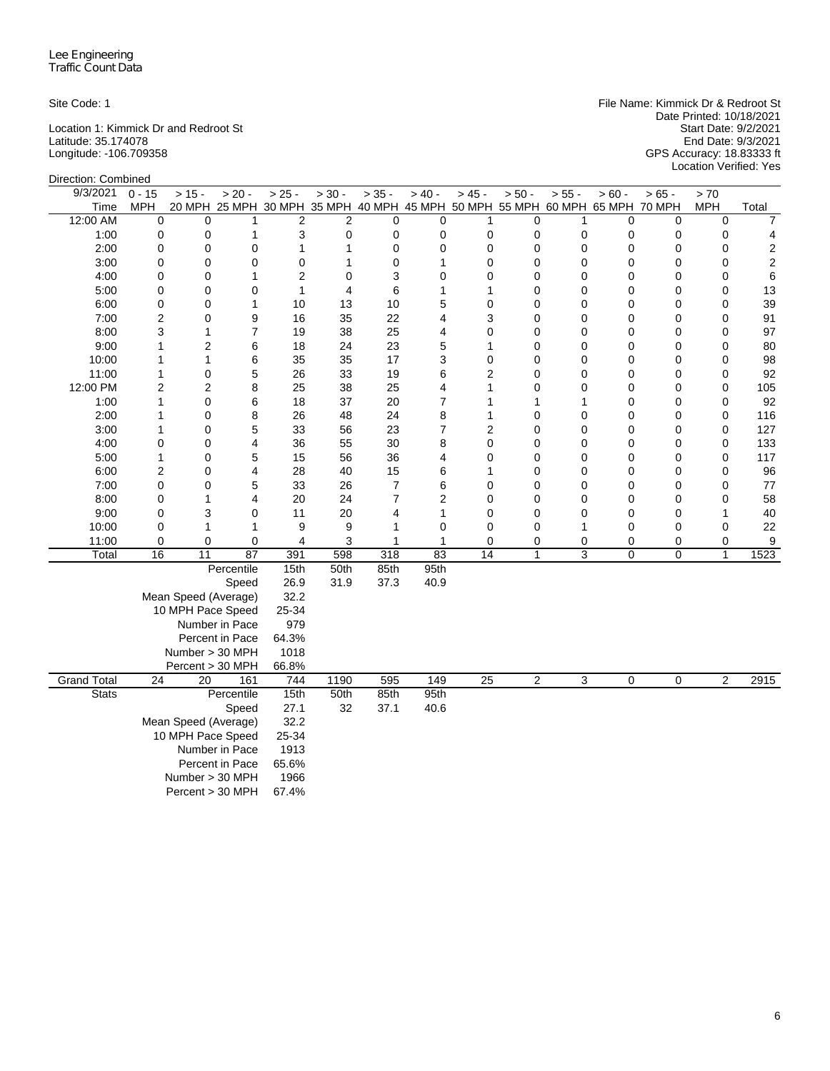Location 1: Kimmick Dr and Redroot St Start Date: 9/2/2021 Latitude: 35.174078 End Date: 9/3/2021

Site Code: 1 File Name: Kimmick Dr & Redroot St Date Printed: 10/18/2021 Longitude: -106.709358 GPS Accuracy: 18.83333 ft Start Date: 9/3/2021<br>End Date: 9/3/2021<br>GPS Accuracy: 18.83333 ft<br>Location Verified: Yes

| Direction: Combined |                                |                      |                      |                |                |                |                    |                                |                   |             |                                                                              |                |                   |                |
|---------------------|--------------------------------|----------------------|----------------------|----------------|----------------|----------------|--------------------|--------------------------------|-------------------|-------------|------------------------------------------------------------------------------|----------------|-------------------|----------------|
| 9/3/2021            | $0 - 15$                       | $> 15 -$             | $> 20 -$             | $> 25 -$       | $> 30 -$       | $> 35 -$       | $> 40 -$           | $> 45 -$                       | $> 50 -$          | $> 55 -$    | $> 60 -$                                                                     | $> 65 -$       | > 70              |                |
| Time                | MPH                            |                      |                      |                |                |                |                    |                                |                   |             | 20 MPH 25 MPH 30 MPH 35 MPH 40 MPH 45 MPH 50 MPH 55 MPH 60 MPH 65 MPH 70 MPH |                | <b>MPH</b>        | Total          |
| 12:00 AM            | $\mathbf 0$                    | $\mathbf 0$          | 1                    | $\overline{2}$ | $\overline{2}$ | $\mathbf 0$    | 0                  | 1                              | 0                 | 1           | 0                                                                            | 0              | $\mathbf 0$       | $\overline{7}$ |
| 1:00                | $\mathbf 0$                    | 0                    | 1                    | 3              | $\mathbf 0$    | $\mathbf 0$    | $\mathbf 0$        | $\mathbf 0$                    | 0                 | 0           | 0                                                                            | $\mathbf 0$    | $\mathbf 0$       | 4              |
| 2:00                | 0                              | $\mathbf 0$          | 0                    | 1              | $\mathbf{1}$   | $\mathbf 0$    | $\mathbf 0$        | $\mathbf 0$                    | $\mathbf 0$       | 0           | $\mathbf 0$                                                                  | $\mathbf 0$    | $\mathbf 0$       | 2              |
| 3:00                | $\mathbf 0$                    | $\mathbf 0$          | $\mathbf 0$          | $\mathbf 0$    | 1              | $\mathbf 0$    | $\mathbf{1}$       | $\mathbf 0$                    | 0                 | 0           | $\boldsymbol{0}$                                                             | $\mathbf 0$    | $\mathbf 0$       | $\sqrt{2}$     |
| 4:00                | $\mathbf 0$                    | $\mathbf 0$          | 1                    | $\overline{2}$ | 0              | 3              | $\mathbf 0$        | $\mathbf 0$                    | 0                 | $\mathbf 0$ | 0                                                                            | $\mathbf 0$    | $\mathbf 0$       | 6              |
| 5:00                | 0                              | $\mathbf 0$          | $\mathbf 0$          | $\mathbf{1}$   | 4              | 6              | $\mathbf{1}$       | 1                              | $\mathbf 0$       | $\mathbf 0$ | 0                                                                            | $\mathbf 0$    | $\mathbf 0$       | 13             |
| 6:00                | 0                              | 0                    | 1                    | 10             | 13             | 10             | 5                  | $\mathbf 0$                    | $\mathbf 0$       | $\mathbf 0$ | 0                                                                            | $\mathbf 0$    | $\mathbf 0$       | 39             |
| 7:00                | $\overline{2}$                 | 0                    | 9                    | 16             | 35             | 22             | 4                  | 3                              | 0                 | 0           | 0                                                                            | $\mathbf 0$    | $\mathbf 0$       | 91             |
| 8:00                | 3                              | 1                    | $\overline{7}$       | 19             | 38             | 25             | 4                  | 0                              | 0                 | $\mathbf 0$ | 0                                                                            | 0              | $\mathbf 0$       | 97             |
| 9:00                | 1                              | 2                    | 6                    | 18             | 24             | 23             | 5                  | 1                              | 0                 | 0           | 0                                                                            | 0              | 0                 | 80             |
| 10:00               | 1                              | 1                    | 6                    | 35             | 35             | 17             | 3                  | 0                              | 0                 | $\mathbf 0$ | 0                                                                            | 0              | $\mathbf 0$       | 98             |
| 11:00               | 1                              | $\mathbf 0$          | 5                    | 26             | 33             | 19             | 6                  | $\overline{2}$                 | $\mathbf 0$       | 0           | 0                                                                            | 0              | $\mathbf 0$       | 92             |
| 12:00 PM            | $\overline{2}$                 | 2                    | 8                    | 25             | 38             | 25             | 4                  | 1                              | $\mathbf 0$       | $\mathbf 0$ | 0                                                                            | $\mathbf 0$    | $\mathbf 0$       | 105            |
| 1:00                | 1                              | 0                    | 6                    | 18             | 37             | 20             | $\overline{7}$     | 1                              | 1                 | 1           | 0                                                                            | $\mathbf 0$    | 0                 | 92             |
| 2:00                | 1                              | 0                    | 8                    | 26             | 48             | 24             | 8                  | 1                              | 0                 | 0           | 0                                                                            | 0              | 0                 | 116            |
| 3:00                | 1                              | 0                    | 5                    | 33             | 56             | 23             | $\overline{7}$     | 2                              | 0                 | 0           | 0                                                                            | 0              | 0                 | 127            |
| 4:00                | $\mathbf 0$                    | 0                    | 4                    | 36             | 55             | 30             | 8                  | 0                              | 0                 | 0           | 0                                                                            | $\mathbf 0$    | 0                 | 133            |
| 5:00                | 1                              | 0                    | 5                    | 15             | 56             | 36             | 4                  | $\mathbf 0$                    | 0                 | 0           | 0                                                                            | 0              | $\mathbf 0$       | 117            |
| 6:00                | $\overline{\mathbf{c}}$        | 0                    | $\overline{4}$       | 28             | 40             | 15             | 6                  | 1                              | 0                 | $\mathbf 0$ | 0                                                                            | $\mathbf 0$    | $\mathbf 0$       | 96             |
| 7:00                | $\mathbf 0$                    | 0                    | 5                    | 33             | 26             | $\overline{7}$ | 6                  | $\mathbf 0$                    | $\mathbf 0$       | $\mathbf 0$ | 0                                                                            | 0              | 0                 | 77             |
| 8:00                | 0                              | 1                    | $\overline{4}$       | 20             | 24             | $\overline{7}$ | $\overline{2}$     | $\mathbf 0$                    | 0                 | 0           | $\boldsymbol{0}$                                                             | 0              | $\mathbf 0$       | 58             |
| 9:00                | 0                              | 3                    | $\mathbf 0$          | 11             | 20             | 4              | $\mathbf{1}$       | $\mathbf 0$                    | 0                 | $\mathbf 0$ | 0                                                                            | $\mathbf 0$    | $\mathbf{1}$      | 40             |
| 10:00               | $\mathbf 0$                    | 1                    | 1                    | 9              | 9              | 1              | $\mathbf 0$        | $\mathbf 0$                    | $\mathbf 0$       | 1           | 0                                                                            | 0              | $\mathbf 0$       | 22             |
| 11:00<br>Total      | $\mathbf 0$<br>$\overline{16}$ | $\mathbf 0$<br>11    | 0<br>$\overline{87}$ | 4<br>391       | 3<br>598       | 1<br>318       | $\mathbf{1}$<br>83 | $\mathbf 0$<br>$\overline{14}$ | 0<br>$\mathbf{1}$ | 0<br>3      | 0<br>$\mathbf 0$                                                             | 0<br>$\pmb{0}$ | 0<br>$\mathbf{1}$ | 9<br>1523      |
|                     |                                |                      | Percentile           | 15th           | 50th           | 85th           | 95th               |                                |                   |             |                                                                              |                |                   |                |
|                     |                                |                      | Speed                | 26.9           | 31.9           | 37.3           | 40.9               |                                |                   |             |                                                                              |                |                   |                |
|                     |                                | Mean Speed (Average) |                      | 32.2           |                |                |                    |                                |                   |             |                                                                              |                |                   |                |
|                     |                                | 10 MPH Pace Speed    |                      | 25-34          |                |                |                    |                                |                   |             |                                                                              |                |                   |                |
|                     |                                |                      | Number in Pace       | 979            |                |                |                    |                                |                   |             |                                                                              |                |                   |                |
|                     |                                |                      | Percent in Pace      | 64.3%          |                |                |                    |                                |                   |             |                                                                              |                |                   |                |
|                     |                                | Number > 30 MPH      |                      | 1018           |                |                |                    |                                |                   |             |                                                                              |                |                   |                |
|                     |                                | Percent > 30 MPH     |                      | 66.8%          |                |                |                    |                                |                   |             |                                                                              |                |                   |                |
| <b>Grand Total</b>  | $\overline{24}$                | 20                   | 161                  | 744            | 1190           | 595            | 149                | $\overline{25}$                | 2                 | 3           | $\boldsymbol{0}$                                                             | 0              | 2                 | 2915           |
| <b>Stats</b>        |                                |                      | Percentile           | 15th           | 50th           | 85th           | 95th               |                                |                   |             |                                                                              |                |                   |                |
|                     |                                |                      | Speed                | 27.1           | 32             | 37.1           | 40.6               |                                |                   |             |                                                                              |                |                   |                |
|                     |                                | Mean Speed (Average) |                      | 32.2           |                |                |                    |                                |                   |             |                                                                              |                |                   |                |
|                     |                                | 10 MPH Pace Speed    |                      | 25-34          |                |                |                    |                                |                   |             |                                                                              |                |                   |                |
|                     |                                |                      | Number in Pace       | 1913           |                |                |                    |                                |                   |             |                                                                              |                |                   |                |
|                     |                                |                      | Percent in Pace      | 65.6%          |                |                |                    |                                |                   |             |                                                                              |                |                   |                |
|                     |                                | Number > 30 MPH      |                      | 1966           |                |                |                    |                                |                   |             |                                                                              |                |                   |                |
|                     |                                | Percent > 30 MPH     |                      | 67.4%          |                |                |                    |                                |                   |             |                                                                              |                |                   |                |
|                     |                                |                      |                      |                |                |                |                    |                                |                   |             |                                                                              |                |                   |                |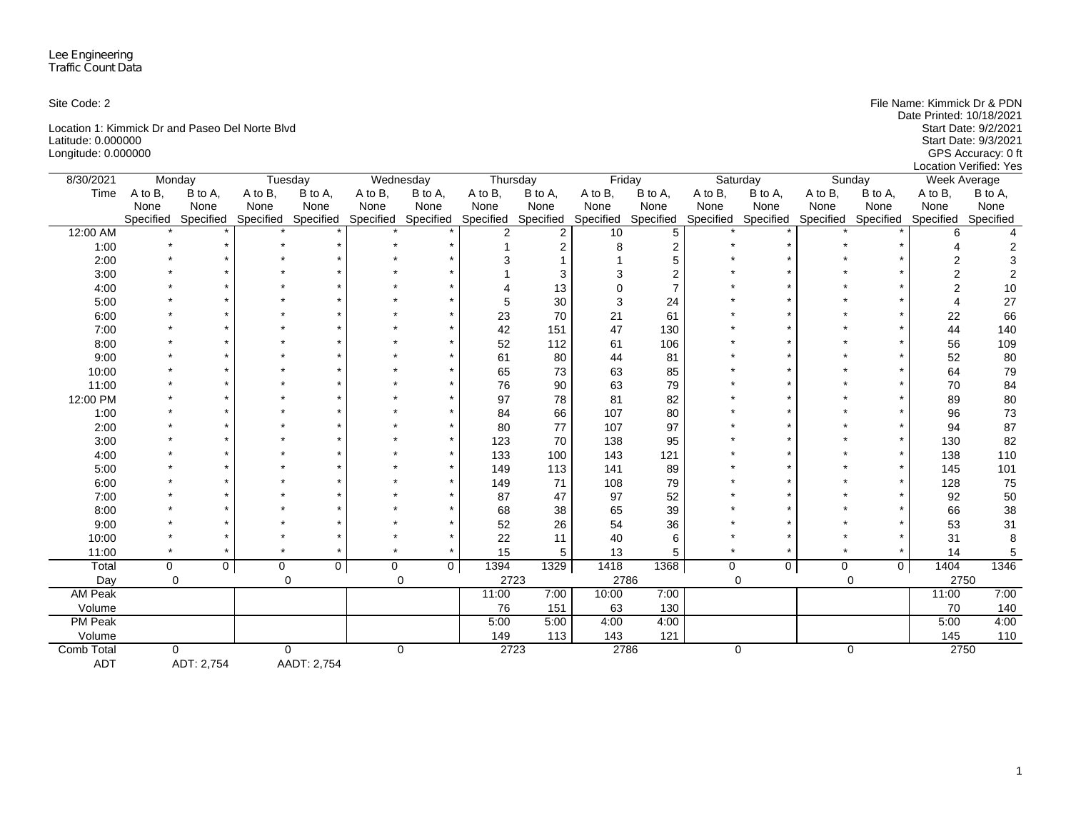Location 1: Kimmick Dr and Paseo Del Norte Blvd<br>
Latitude: 0.000000<br>
Start Date: 9/3/2021 Latitude: 0.000000 Start Date: 9/3/2021 Longitude: 0.000000 GPS Accuracy: 0 ft

Site Code: 2 File Name: Kimmick Dr & PDN Location Verified: Yes

| 8/30/2021         | Monday      |                |         | Tuesday                                 |         | Wednesday      | Thursday            |                | Friday    |                |         | Saturday            |         | Sunday                        | Week Average |           |
|-------------------|-------------|----------------|---------|-----------------------------------------|---------|----------------|---------------------|----------------|-----------|----------------|---------|---------------------|---------|-------------------------------|--------------|-----------|
| Time              | A to B.     | B to A,        | A to B, | B to A,                                 | A to B, | B to A,        | A to B,             | B to A,        | A to B,   | B to A,        | A to B, | B to A,             | A to B, | B to A,                       | A to B.      | B to A,   |
|                   | None        | None           | None    | None                                    | None    | None           | None                | None           | None      | None           | None    | None                | None    | None                          | None         | None      |
|                   | Specified   | Specified      |         | Specified Specified Specified Specified |         |                | Specified Specified |                | Specified | Specified      |         | Specified Specified |         | Specified Specified Specified |              | Specified |
| 12:00 AM          |             |                |         |                                         |         |                | $\mathfrak{p}$      | $\overline{2}$ | 10        | $\overline{5}$ |         |                     |         |                               | 6            |           |
| 1:00              |             |                |         |                                         |         |                |                     | $\overline{2}$ |           | $\overline{2}$ |         |                     |         |                               |              | 2         |
| 2:00              |             |                |         |                                         |         |                |                     |                |           | 5              |         |                     |         |                               |              |           |
| 3:00              |             |                |         |                                         |         |                |                     |                |           | $\mathcal{P}$  |         |                     |         |                               |              |           |
| 4:00              |             |                |         |                                         |         |                |                     | 13             |           | $\overline{7}$ |         |                     |         |                               | 2            | 10        |
| 5:00              |             |                |         |                                         |         |                | 5                   | 30             | 3         | 24             |         |                     |         |                               |              | 27        |
| 6:00              |             |                |         |                                         |         |                | 23                  | 70             | 21        | 61             |         |                     |         |                               | 22           | 66        |
| 7:00              |             |                |         |                                         |         |                | 42                  | 151            | 47        | 130            |         |                     |         |                               | 44           | 140       |
| 8:00              |             |                |         |                                         |         |                | 52                  | 112            | 61        | 106            |         |                     |         |                               | 56           | 109       |
| 9:00              |             |                |         |                                         |         |                | 61                  | 80             | 44        | 81             |         |                     |         |                               | 52           | 80        |
| 10:00             |             |                |         |                                         |         |                | 65                  | 73             | 63        | 85             |         |                     |         |                               | 64           | 79        |
| 11:00             |             |                |         |                                         |         |                | 76                  | 90             | 63        | 79             |         |                     |         |                               | 70           | 84        |
| 12:00 PM          |             |                |         |                                         |         |                | 97                  | 78             | 81        | 82             |         |                     |         |                               | 89           | 80        |
| 1:00              |             |                |         |                                         |         |                | 84                  | 66             | 107       | 80             |         |                     |         |                               | 96           | 73        |
| 2:00              |             |                |         |                                         |         |                | 80                  | 77             | 107       | 97             |         |                     |         |                               | 94           | 87        |
| 3:00              |             |                |         |                                         |         |                | 123                 | 70             | 138       | 95             |         |                     |         |                               | 130          | 82        |
| 4:00              |             |                |         |                                         |         |                | 133                 | 100            | 143       | 121            |         |                     |         |                               | 138          | 110       |
| 5:00              |             |                |         |                                         |         |                | 149                 | 113            | 141       | 89             |         |                     |         |                               | 145          | 101       |
| 6:00              |             |                |         |                                         |         |                | 149                 | 71             | 108       | 79             |         |                     |         |                               | 128          | 75        |
| 7:00              |             |                |         |                                         |         |                | 87                  | 47             | 97        | 52             |         |                     |         |                               | 92           | 50        |
| 8:00              |             |                |         |                                         |         |                | 68                  | 38             | 65        | 39             |         |                     |         |                               | 66           | 38        |
| 9:00              |             |                |         |                                         |         |                | 52                  | 26             | 54        | 36             |         |                     |         |                               | 53           | 31        |
| 10:00             |             |                |         |                                         |         |                | 22                  | 11             | 40        | 6              |         |                     |         |                               | 31           | 8         |
| 11:00             |             |                |         | $\star$                                 |         |                | 15                  | 5              | 13        | 5              |         |                     |         | $\star$                       | 14           | 5         |
| Total             | $\mathbf 0$ | $\overline{0}$ | 0       | 0                                       | 0       | $\overline{0}$ | 1394                | 1329           | 1418      | 1368           | 0       | 0                   | 0       | $\mathbf 0$                   | 1404         | 1346      |
| Day               | $\Omega$    |                |         | $\mathbf 0$                             |         | 0              | 2723                |                | 2786      |                |         | 0                   |         | 0                             | 2750         |           |
| <b>AM Peak</b>    |             |                |         |                                         |         |                | 11:00               | 7:00           | 10:00     | 7:00           |         |                     |         |                               | 11:00        | 7:00      |
| Volume            |             |                |         |                                         |         |                | 76                  | 151            | 63        | 130            |         |                     |         |                               | 70           | 140       |
| <b>PM Peak</b>    |             |                |         |                                         |         |                | 5:00                | 5:00           | 4:00      | 4:00           |         |                     |         |                               | 5:00         | 4:00      |
| Volume            |             |                |         |                                         |         |                | 149                 | 113            | 143       | 121            |         |                     |         |                               | 145          | 110       |
| <b>Comb Total</b> | $\Omega$    |                |         | $\mathbf 0$                             |         | 0              | 2723                |                | 2786      |                |         | $\mathbf 0$         |         | 0                             | 2750         |           |
| <b>ADT</b>        |             | ADT: 2,754     |         | AADT: 2,754                             |         |                |                     |                |           |                |         |                     |         |                               |              |           |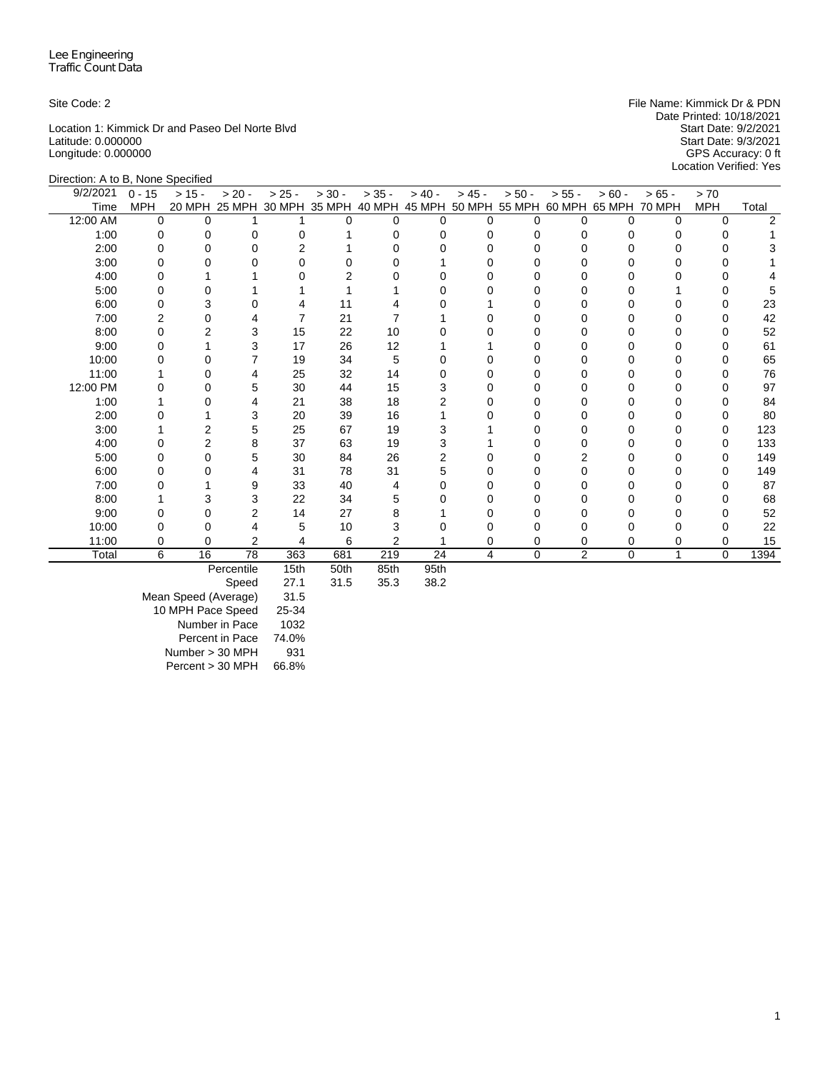Location 1: Kimmick Dr and Paseo Del Norte Blvd<br>
Latitude: 0.000000<br>
Start Date: 9/3/2021 Latitude: 0.000000 Start Date: 9/3/2021 Longitude: 0.000000 GPS Accuracy: 0 ft

Site Code: 2 **File Name: Kimmick Dr & PDN** File Name: Kimmick Dr & PDN Date Printed: 10/18/2021<br>Start Date: 9/2/2021 Location Verified: Yes

| Direction: A to B, None Specified |                |          |                |          |                             |                |                                    |          |          |          |               |              |            |                |
|-----------------------------------|----------------|----------|----------------|----------|-----------------------------|----------------|------------------------------------|----------|----------|----------|---------------|--------------|------------|----------------|
| 9/2/2021                          | $0 - 15$       | $> 15 -$ | $> 20 -$       | $> 25 -$ | $> 30 -$                    | $> 35 -$       | $> 40 -$                           | $> 45 -$ | $> 50 -$ | $> 55 -$ | $> 60 -$      | $> 65 -$     | > 70       |                |
| Time                              | <b>MPH</b>     |          |                |          | 20 MPH 25 MPH 30 MPH 35 MPH |                | 40 MPH 45 MPH 50 MPH 55 MPH 60 MPH |          |          |          | 65 MPH 70 MPH |              | <b>MPH</b> | Total          |
| 12:00 AM                          | $\Omega$       | $\Omega$ |                |          | $\Omega$                    | $\Omega$       | $\Omega$                           | $\Omega$ | 0        | $\Omega$ | $\Omega$      | $\Omega$     | $\Omega$   | $\mathfrak{p}$ |
| 1:00                              | 0              | 0        | 0              | 0        |                             | 0              | 0                                  | $\Omega$ | 0        | 0        | 0             | 0            | 0          |                |
| 2:00                              | 0              |          | $\Omega$       | 2        |                             |                |                                    | $\Omega$ |          |          |               | U            | 0          |                |
| 3:00                              | 0              |          | 0              |          |                             |                |                                    | 0        |          |          |               |              | 0          |                |
| 4:00                              |                |          |                |          |                             |                |                                    | n        |          |          |               |              | O          |                |
| 5:00                              |                |          |                |          |                             |                |                                    |          |          |          |               |              | 0          |                |
| 6:00                              | 0              |          | 0              |          | 11                          |                |                                    |          |          |          |               | O            | 0          | 23             |
| 7:00                              | $\overline{2}$ | O        |                | 7        | 21                          |                |                                    | O        | 0        | O        | O             | 0            | 0          | 42             |
| 8:00                              | 0              |          | 3              | 15       | 22                          | 10             |                                    |          | 0        | 0        |               | 0            | 0          | 52             |
| 9:00                              | O              |          | 3              | 17       | 26                          | 12             |                                    |          |          |          |               |              | O          | 61             |
| 10:00                             |                |          |                | 19       | 34                          | 5              |                                    | O        |          |          |               | 0            | 0          | 65             |
| 11:00                             |                |          | 4              | 25       | 32                          | 14             | n                                  | O        |          |          |               | O            | 0          | 76             |
| 12:00 PM                          |                |          | 5              | 30       | 44                          | 15             |                                    | O        |          |          |               | 0            | O          | 97             |
| 1:00                              |                |          | 4              | 21       | 38                          | 18             |                                    | 0        | 0        |          |               | 0            | 0          | 84             |
| 2:00                              |                |          | 3              | 20       | 39                          | 16             |                                    | O        | 0        | O        | O             | 0            | 0          | 80             |
| 3:00                              |                | 2        | 5              | 25       | 67                          | 19             | 3                                  |          |          |          |               | 0            | 0          | 123            |
| 4:00                              | 0              |          | 8              | 37       | 63                          | 19             |                                    |          |          |          |               | 0            | 0          | 133            |
| 5:00                              | 0              | 0        | 5              | 30       | 84                          | 26             | 2                                  | 0        | 0        | 2        |               | 0            | 0          | 149            |
| 6:00                              | 0              |          | 4              | 31       | 78                          | 31             | 5                                  | O        |          | $\Omega$ |               | 0            | $\Omega$   | 149            |
| 7:00                              | O              |          | 9              | 33       | 40                          | 4              | O                                  | O        |          | ŋ        |               | U            | $\Omega$   | 87             |
| 8:00                              |                |          | 3              | 22       | 34                          | 5              |                                    | 0        | 0        |          |               | 0            | 0          | 68             |
| 9:00                              | O              |          | $\overline{2}$ | 14       | 27                          | 8              |                                    | O        | ი        | O        |               | U            | 0          | 52             |
| 10:00                             |                |          | 4              | 5        | 10                          | 3              |                                    |          |          |          |               | 0            | 0          | 22             |
| 11:00                             | 0              | $\Omega$ | $\overline{2}$ | 4        | 6                           | $\overline{2}$ |                                    | 0        | 0        | 0        | 0             | 0            | $\Omega$   | 15             |
| Total                             | 6              | 16       | 78             | 363      | 681                         | 219            | 24                                 | 4        | 0        | 2        | 0             | $\mathbf{1}$ | $\Omega$   | 1394           |
|                                   |                |          | Percentile     | 15th     | 50th                        | 85th           | 95th                               |          |          |          |               |              |            |                |

Speed 27.1 31.5 35.3 38.2

Mean Speed (Average) 31.5 10 MPH Pace Speed 25-34 Number in Pace 1032 Percent in Pace 74.0% Number > 30 MPH 931 Percent > 30 MPH 66.8%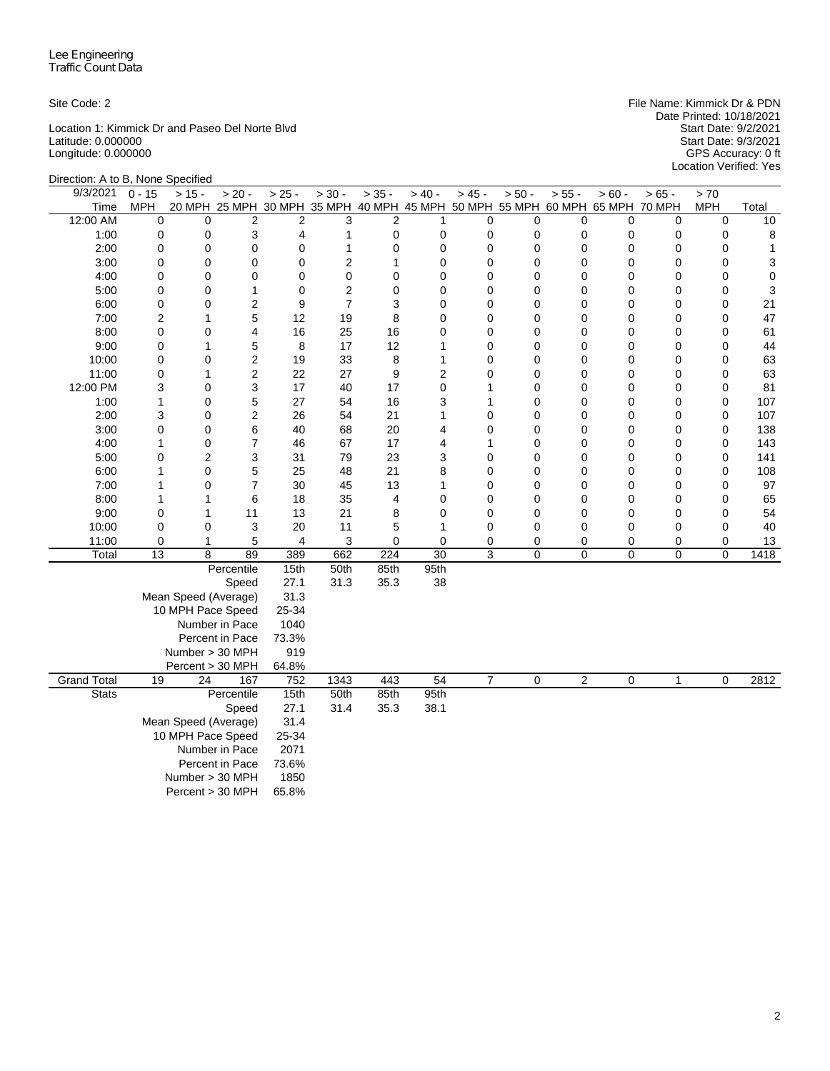Location 1: Kimmick Dr and Paseo Del Norte Blvd Start Date: 9/2/2021 Latitude: 0.000000 Start Date: 9/3/2021 Longitude: 0.000000 GPS Accuracy: 0 ft

Site Code: 2 File Name: Kimmick Dr & PDN Date Printed: 10/18/2021 Start Date: 9/2/2021<br>Start Date: 9/3/2021<br>GPS Accuracy: 0 ft<br>Location Verified: Yes

| $0 - 15$ | $> 15 -$                                                                                                                                                                                                                                    | $> 20 -$                                                                                                                                                                                                                           | $> 25 -$                                                                                                                                                                                                                                                                                                                                                                                                                                                                                                          | $> 30 -$                                                                                                                                                                                                               | $> 35 -$                                                                                                                                                       | $> 40 -$                                                                                                                                                                                                        | $> 45 -$                                                                                                                | $> 50 -$                                                                                                                                                                                                                                                                                                                                                                                                                   | $> 55 -$                                                                                                                                         | $> 60 -$                                                                                                                  | $> 65 -$                                                                                                                                                                  | > 70                                                                                                                                                                                                 |                                                                                                                                                                                                                                                                                                          |
|----------|---------------------------------------------------------------------------------------------------------------------------------------------------------------------------------------------------------------------------------------------|------------------------------------------------------------------------------------------------------------------------------------------------------------------------------------------------------------------------------------|-------------------------------------------------------------------------------------------------------------------------------------------------------------------------------------------------------------------------------------------------------------------------------------------------------------------------------------------------------------------------------------------------------------------------------------------------------------------------------------------------------------------|------------------------------------------------------------------------------------------------------------------------------------------------------------------------------------------------------------------------|----------------------------------------------------------------------------------------------------------------------------------------------------------------|-----------------------------------------------------------------------------------------------------------------------------------------------------------------------------------------------------------------|-------------------------------------------------------------------------------------------------------------------------|----------------------------------------------------------------------------------------------------------------------------------------------------------------------------------------------------------------------------------------------------------------------------------------------------------------------------------------------------------------------------------------------------------------------------|--------------------------------------------------------------------------------------------------------------------------------------------------|---------------------------------------------------------------------------------------------------------------------------|---------------------------------------------------------------------------------------------------------------------------------------------------------------------------|------------------------------------------------------------------------------------------------------------------------------------------------------------------------------------------------------|----------------------------------------------------------------------------------------------------------------------------------------------------------------------------------------------------------------------------------------------------------------------------------------------------------|
| MPH      |                                                                                                                                                                                                                                             |                                                                                                                                                                                                                                    |                                                                                                                                                                                                                                                                                                                                                                                                                                                                                                                   |                                                                                                                                                                                                                        |                                                                                                                                                                |                                                                                                                                                                                                                 |                                                                                                                         |                                                                                                                                                                                                                                                                                                                                                                                                                            |                                                                                                                                                  |                                                                                                                           |                                                                                                                                                                           | <b>MPH</b>                                                                                                                                                                                           | Total                                                                                                                                                                                                                                                                                                    |
| 0        | $\mathbf 0$                                                                                                                                                                                                                                 |                                                                                                                                                                                                                                    |                                                                                                                                                                                                                                                                                                                                                                                                                                                                                                                   | 3                                                                                                                                                                                                                      |                                                                                                                                                                | 1                                                                                                                                                                                                               |                                                                                                                         | 0                                                                                                                                                                                                                                                                                                                                                                                                                          |                                                                                                                                                  | 0                                                                                                                         | 0                                                                                                                                                                         | $\mathbf 0$                                                                                                                                                                                          | 10                                                                                                                                                                                                                                                                                                       |
|          |                                                                                                                                                                                                                                             |                                                                                                                                                                                                                                    |                                                                                                                                                                                                                                                                                                                                                                                                                                                                                                                   | 1                                                                                                                                                                                                                      |                                                                                                                                                                |                                                                                                                                                                                                                 |                                                                                                                         |                                                                                                                                                                                                                                                                                                                                                                                                                            |                                                                                                                                                  |                                                                                                                           |                                                                                                                                                                           |                                                                                                                                                                                                      | 8                                                                                                                                                                                                                                                                                                        |
|          |                                                                                                                                                                                                                                             |                                                                                                                                                                                                                                    |                                                                                                                                                                                                                                                                                                                                                                                                                                                                                                                   |                                                                                                                                                                                                                        |                                                                                                                                                                |                                                                                                                                                                                                                 |                                                                                                                         |                                                                                                                                                                                                                                                                                                                                                                                                                            |                                                                                                                                                  |                                                                                                                           |                                                                                                                                                                           |                                                                                                                                                                                                      | 1                                                                                                                                                                                                                                                                                                        |
|          |                                                                                                                                                                                                                                             |                                                                                                                                                                                                                                    |                                                                                                                                                                                                                                                                                                                                                                                                                                                                                                                   |                                                                                                                                                                                                                        |                                                                                                                                                                |                                                                                                                                                                                                                 |                                                                                                                         |                                                                                                                                                                                                                                                                                                                                                                                                                            |                                                                                                                                                  |                                                                                                                           |                                                                                                                                                                           |                                                                                                                                                                                                      | 3                                                                                                                                                                                                                                                                                                        |
|          |                                                                                                                                                                                                                                             |                                                                                                                                                                                                                                    |                                                                                                                                                                                                                                                                                                                                                                                                                                                                                                                   |                                                                                                                                                                                                                        |                                                                                                                                                                |                                                                                                                                                                                                                 |                                                                                                                         |                                                                                                                                                                                                                                                                                                                                                                                                                            |                                                                                                                                                  |                                                                                                                           |                                                                                                                                                                           |                                                                                                                                                                                                      | 0                                                                                                                                                                                                                                                                                                        |
|          |                                                                                                                                                                                                                                             |                                                                                                                                                                                                                                    |                                                                                                                                                                                                                                                                                                                                                                                                                                                                                                                   |                                                                                                                                                                                                                        |                                                                                                                                                                |                                                                                                                                                                                                                 |                                                                                                                         |                                                                                                                                                                                                                                                                                                                                                                                                                            |                                                                                                                                                  |                                                                                                                           |                                                                                                                                                                           |                                                                                                                                                                                                      | 3                                                                                                                                                                                                                                                                                                        |
|          |                                                                                                                                                                                                                                             |                                                                                                                                                                                                                                    |                                                                                                                                                                                                                                                                                                                                                                                                                                                                                                                   |                                                                                                                                                                                                                        |                                                                                                                                                                |                                                                                                                                                                                                                 |                                                                                                                         |                                                                                                                                                                                                                                                                                                                                                                                                                            |                                                                                                                                                  |                                                                                                                           |                                                                                                                                                                           |                                                                                                                                                                                                      | 21                                                                                                                                                                                                                                                                                                       |
|          |                                                                                                                                                                                                                                             |                                                                                                                                                                                                                                    |                                                                                                                                                                                                                                                                                                                                                                                                                                                                                                                   |                                                                                                                                                                                                                        |                                                                                                                                                                |                                                                                                                                                                                                                 |                                                                                                                         |                                                                                                                                                                                                                                                                                                                                                                                                                            |                                                                                                                                                  |                                                                                                                           |                                                                                                                                                                           |                                                                                                                                                                                                      | 47                                                                                                                                                                                                                                                                                                       |
|          |                                                                                                                                                                                                                                             |                                                                                                                                                                                                                                    |                                                                                                                                                                                                                                                                                                                                                                                                                                                                                                                   |                                                                                                                                                                                                                        |                                                                                                                                                                |                                                                                                                                                                                                                 |                                                                                                                         |                                                                                                                                                                                                                                                                                                                                                                                                                            |                                                                                                                                                  |                                                                                                                           |                                                                                                                                                                           |                                                                                                                                                                                                      | 61                                                                                                                                                                                                                                                                                                       |
|          |                                                                                                                                                                                                                                             |                                                                                                                                                                                                                                    |                                                                                                                                                                                                                                                                                                                                                                                                                                                                                                                   |                                                                                                                                                                                                                        |                                                                                                                                                                |                                                                                                                                                                                                                 |                                                                                                                         |                                                                                                                                                                                                                                                                                                                                                                                                                            |                                                                                                                                                  |                                                                                                                           |                                                                                                                                                                           |                                                                                                                                                                                                      | 44                                                                                                                                                                                                                                                                                                       |
|          |                                                                                                                                                                                                                                             |                                                                                                                                                                                                                                    |                                                                                                                                                                                                                                                                                                                                                                                                                                                                                                                   |                                                                                                                                                                                                                        |                                                                                                                                                                |                                                                                                                                                                                                                 |                                                                                                                         |                                                                                                                                                                                                                                                                                                                                                                                                                            |                                                                                                                                                  |                                                                                                                           |                                                                                                                                                                           |                                                                                                                                                                                                      | 63                                                                                                                                                                                                                                                                                                       |
|          |                                                                                                                                                                                                                                             |                                                                                                                                                                                                                                    |                                                                                                                                                                                                                                                                                                                                                                                                                                                                                                                   |                                                                                                                                                                                                                        |                                                                                                                                                                |                                                                                                                                                                                                                 |                                                                                                                         |                                                                                                                                                                                                                                                                                                                                                                                                                            |                                                                                                                                                  |                                                                                                                           |                                                                                                                                                                           |                                                                                                                                                                                                      | 63                                                                                                                                                                                                                                                                                                       |
|          |                                                                                                                                                                                                                                             |                                                                                                                                                                                                                                    |                                                                                                                                                                                                                                                                                                                                                                                                                                                                                                                   |                                                                                                                                                                                                                        |                                                                                                                                                                |                                                                                                                                                                                                                 |                                                                                                                         |                                                                                                                                                                                                                                                                                                                                                                                                                            |                                                                                                                                                  |                                                                                                                           |                                                                                                                                                                           |                                                                                                                                                                                                      | 81                                                                                                                                                                                                                                                                                                       |
|          |                                                                                                                                                                                                                                             |                                                                                                                                                                                                                                    |                                                                                                                                                                                                                                                                                                                                                                                                                                                                                                                   |                                                                                                                                                                                                                        |                                                                                                                                                                |                                                                                                                                                                                                                 |                                                                                                                         |                                                                                                                                                                                                                                                                                                                                                                                                                            |                                                                                                                                                  |                                                                                                                           |                                                                                                                                                                           |                                                                                                                                                                                                      | 107                                                                                                                                                                                                                                                                                                      |
|          |                                                                                                                                                                                                                                             |                                                                                                                                                                                                                                    |                                                                                                                                                                                                                                                                                                                                                                                                                                                                                                                   |                                                                                                                                                                                                                        |                                                                                                                                                                |                                                                                                                                                                                                                 |                                                                                                                         |                                                                                                                                                                                                                                                                                                                                                                                                                            |                                                                                                                                                  |                                                                                                                           |                                                                                                                                                                           |                                                                                                                                                                                                      | 107                                                                                                                                                                                                                                                                                                      |
|          |                                                                                                                                                                                                                                             |                                                                                                                                                                                                                                    |                                                                                                                                                                                                                                                                                                                                                                                                                                                                                                                   |                                                                                                                                                                                                                        |                                                                                                                                                                |                                                                                                                                                                                                                 |                                                                                                                         |                                                                                                                                                                                                                                                                                                                                                                                                                            |                                                                                                                                                  |                                                                                                                           |                                                                                                                                                                           |                                                                                                                                                                                                      | 138<br>143                                                                                                                                                                                                                                                                                               |
|          |                                                                                                                                                                                                                                             |                                                                                                                                                                                                                                    |                                                                                                                                                                                                                                                                                                                                                                                                                                                                                                                   |                                                                                                                                                                                                                        |                                                                                                                                                                |                                                                                                                                                                                                                 |                                                                                                                         |                                                                                                                                                                                                                                                                                                                                                                                                                            |                                                                                                                                                  |                                                                                                                           |                                                                                                                                                                           |                                                                                                                                                                                                      |                                                                                                                                                                                                                                                                                                          |
|          |                                                                                                                                                                                                                                             |                                                                                                                                                                                                                                    |                                                                                                                                                                                                                                                                                                                                                                                                                                                                                                                   |                                                                                                                                                                                                                        |                                                                                                                                                                |                                                                                                                                                                                                                 |                                                                                                                         |                                                                                                                                                                                                                                                                                                                                                                                                                            |                                                                                                                                                  |                                                                                                                           |                                                                                                                                                                           |                                                                                                                                                                                                      | 141<br>108                                                                                                                                                                                                                                                                                               |
|          |                                                                                                                                                                                                                                             |                                                                                                                                                                                                                                    |                                                                                                                                                                                                                                                                                                                                                                                                                                                                                                                   |                                                                                                                                                                                                                        |                                                                                                                                                                |                                                                                                                                                                                                                 |                                                                                                                         |                                                                                                                                                                                                                                                                                                                                                                                                                            |                                                                                                                                                  |                                                                                                                           |                                                                                                                                                                           |                                                                                                                                                                                                      | 97                                                                                                                                                                                                                                                                                                       |
|          |                                                                                                                                                                                                                                             |                                                                                                                                                                                                                                    |                                                                                                                                                                                                                                                                                                                                                                                                                                                                                                                   |                                                                                                                                                                                                                        |                                                                                                                                                                |                                                                                                                                                                                                                 |                                                                                                                         |                                                                                                                                                                                                                                                                                                                                                                                                                            |                                                                                                                                                  |                                                                                                                           |                                                                                                                                                                           |                                                                                                                                                                                                      | 65                                                                                                                                                                                                                                                                                                       |
|          |                                                                                                                                                                                                                                             |                                                                                                                                                                                                                                    |                                                                                                                                                                                                                                                                                                                                                                                                                                                                                                                   |                                                                                                                                                                                                                        |                                                                                                                                                                |                                                                                                                                                                                                                 |                                                                                                                         |                                                                                                                                                                                                                                                                                                                                                                                                                            |                                                                                                                                                  |                                                                                                                           |                                                                                                                                                                           |                                                                                                                                                                                                      | 54                                                                                                                                                                                                                                                                                                       |
|          |                                                                                                                                                                                                                                             |                                                                                                                                                                                                                                    |                                                                                                                                                                                                                                                                                                                                                                                                                                                                                                                   |                                                                                                                                                                                                                        |                                                                                                                                                                |                                                                                                                                                                                                                 |                                                                                                                         |                                                                                                                                                                                                                                                                                                                                                                                                                            |                                                                                                                                                  |                                                                                                                           |                                                                                                                                                                           |                                                                                                                                                                                                      | 40                                                                                                                                                                                                                                                                                                       |
|          |                                                                                                                                                                                                                                             |                                                                                                                                                                                                                                    |                                                                                                                                                                                                                                                                                                                                                                                                                                                                                                                   |                                                                                                                                                                                                                        |                                                                                                                                                                |                                                                                                                                                                                                                 |                                                                                                                         |                                                                                                                                                                                                                                                                                                                                                                                                                            |                                                                                                                                                  |                                                                                                                           |                                                                                                                                                                           |                                                                                                                                                                                                      | 13                                                                                                                                                                                                                                                                                                       |
|          |                                                                                                                                                                                                                                             |                                                                                                                                                                                                                                    |                                                                                                                                                                                                                                                                                                                                                                                                                                                                                                                   |                                                                                                                                                                                                                        |                                                                                                                                                                |                                                                                                                                                                                                                 |                                                                                                                         |                                                                                                                                                                                                                                                                                                                                                                                                                            |                                                                                                                                                  |                                                                                                                           |                                                                                                                                                                           |                                                                                                                                                                                                      | 1418                                                                                                                                                                                                                                                                                                     |
|          |                                                                                                                                                                                                                                             |                                                                                                                                                                                                                                    |                                                                                                                                                                                                                                                                                                                                                                                                                                                                                                                   |                                                                                                                                                                                                                        |                                                                                                                                                                |                                                                                                                                                                                                                 |                                                                                                                         |                                                                                                                                                                                                                                                                                                                                                                                                                            |                                                                                                                                                  |                                                                                                                           |                                                                                                                                                                           |                                                                                                                                                                                                      |                                                                                                                                                                                                                                                                                                          |
|          |                                                                                                                                                                                                                                             |                                                                                                                                                                                                                                    |                                                                                                                                                                                                                                                                                                                                                                                                                                                                                                                   |                                                                                                                                                                                                                        |                                                                                                                                                                |                                                                                                                                                                                                                 |                                                                                                                         |                                                                                                                                                                                                                                                                                                                                                                                                                            |                                                                                                                                                  |                                                                                                                           |                                                                                                                                                                           |                                                                                                                                                                                                      |                                                                                                                                                                                                                                                                                                          |
|          |                                                                                                                                                                                                                                             |                                                                                                                                                                                                                                    |                                                                                                                                                                                                                                                                                                                                                                                                                                                                                                                   |                                                                                                                                                                                                                        |                                                                                                                                                                |                                                                                                                                                                                                                 |                                                                                                                         |                                                                                                                                                                                                                                                                                                                                                                                                                            |                                                                                                                                                  |                                                                                                                           |                                                                                                                                                                           |                                                                                                                                                                                                      |                                                                                                                                                                                                                                                                                                          |
|          |                                                                                                                                                                                                                                             |                                                                                                                                                                                                                                    |                                                                                                                                                                                                                                                                                                                                                                                                                                                                                                                   |                                                                                                                                                                                                                        |                                                                                                                                                                |                                                                                                                                                                                                                 |                                                                                                                         |                                                                                                                                                                                                                                                                                                                                                                                                                            |                                                                                                                                                  |                                                                                                                           |                                                                                                                                                                           |                                                                                                                                                                                                      |                                                                                                                                                                                                                                                                                                          |
|          |                                                                                                                                                                                                                                             |                                                                                                                                                                                                                                    |                                                                                                                                                                                                                                                                                                                                                                                                                                                                                                                   |                                                                                                                                                                                                                        |                                                                                                                                                                |                                                                                                                                                                                                                 |                                                                                                                         |                                                                                                                                                                                                                                                                                                                                                                                                                            |                                                                                                                                                  |                                                                                                                           |                                                                                                                                                                           |                                                                                                                                                                                                      |                                                                                                                                                                                                                                                                                                          |
|          |                                                                                                                                                                                                                                             |                                                                                                                                                                                                                                    |                                                                                                                                                                                                                                                                                                                                                                                                                                                                                                                   |                                                                                                                                                                                                                        |                                                                                                                                                                |                                                                                                                                                                                                                 |                                                                                                                         |                                                                                                                                                                                                                                                                                                                                                                                                                            |                                                                                                                                                  |                                                                                                                           |                                                                                                                                                                           |                                                                                                                                                                                                      |                                                                                                                                                                                                                                                                                                          |
|          |                                                                                                                                                                                                                                             |                                                                                                                                                                                                                                    |                                                                                                                                                                                                                                                                                                                                                                                                                                                                                                                   |                                                                                                                                                                                                                        |                                                                                                                                                                |                                                                                                                                                                                                                 |                                                                                                                         |                                                                                                                                                                                                                                                                                                                                                                                                                            |                                                                                                                                                  |                                                                                                                           |                                                                                                                                                                           |                                                                                                                                                                                                      |                                                                                                                                                                                                                                                                                                          |
|          |                                                                                                                                                                                                                                             |                                                                                                                                                                                                                                    |                                                                                                                                                                                                                                                                                                                                                                                                                                                                                                                   |                                                                                                                                                                                                                        |                                                                                                                                                                |                                                                                                                                                                                                                 |                                                                                                                         |                                                                                                                                                                                                                                                                                                                                                                                                                            |                                                                                                                                                  |                                                                                                                           |                                                                                                                                                                           |                                                                                                                                                                                                      |                                                                                                                                                                                                                                                                                                          |
| 19       | 24                                                                                                                                                                                                                                          | 167                                                                                                                                                                                                                                | 752                                                                                                                                                                                                                                                                                                                                                                                                                                                                                                               | 1343                                                                                                                                                                                                                   | 443                                                                                                                                                            |                                                                                                                                                                                                                 |                                                                                                                         |                                                                                                                                                                                                                                                                                                                                                                                                                            |                                                                                                                                                  | 0                                                                                                                         | $\mathbf{1}$                                                                                                                                                              | $\mathbf 0$                                                                                                                                                                                          | 2812                                                                                                                                                                                                                                                                                                     |
|          |                                                                                                                                                                                                                                             |                                                                                                                                                                                                                                    | 15th                                                                                                                                                                                                                                                                                                                                                                                                                                                                                                              | 50th                                                                                                                                                                                                                   | 85th                                                                                                                                                           | 95th                                                                                                                                                                                                            |                                                                                                                         |                                                                                                                                                                                                                                                                                                                                                                                                                            |                                                                                                                                                  |                                                                                                                           |                                                                                                                                                                           |                                                                                                                                                                                                      |                                                                                                                                                                                                                                                                                                          |
|          |                                                                                                                                                                                                                                             | Speed                                                                                                                                                                                                                              | 27.1                                                                                                                                                                                                                                                                                                                                                                                                                                                                                                              | 31.4                                                                                                                                                                                                                   | 35.3                                                                                                                                                           | 38.1                                                                                                                                                                                                            |                                                                                                                         |                                                                                                                                                                                                                                                                                                                                                                                                                            |                                                                                                                                                  |                                                                                                                           |                                                                                                                                                                           |                                                                                                                                                                                                      |                                                                                                                                                                                                                                                                                                          |
|          |                                                                                                                                                                                                                                             |                                                                                                                                                                                                                                    | 31.4                                                                                                                                                                                                                                                                                                                                                                                                                                                                                                              |                                                                                                                                                                                                                        |                                                                                                                                                                |                                                                                                                                                                                                                 |                                                                                                                         |                                                                                                                                                                                                                                                                                                                                                                                                                            |                                                                                                                                                  |                                                                                                                           |                                                                                                                                                                           |                                                                                                                                                                                                      |                                                                                                                                                                                                                                                                                                          |
|          |                                                                                                                                                                                                                                             |                                                                                                                                                                                                                                    | 25-34                                                                                                                                                                                                                                                                                                                                                                                                                                                                                                             |                                                                                                                                                                                                                        |                                                                                                                                                                |                                                                                                                                                                                                                 |                                                                                                                         |                                                                                                                                                                                                                                                                                                                                                                                                                            |                                                                                                                                                  |                                                                                                                           |                                                                                                                                                                           |                                                                                                                                                                                                      |                                                                                                                                                                                                                                                                                                          |
|          |                                                                                                                                                                                                                                             |                                                                                                                                                                                                                                    | 2071                                                                                                                                                                                                                                                                                                                                                                                                                                                                                                              |                                                                                                                                                                                                                        |                                                                                                                                                                |                                                                                                                                                                                                                 |                                                                                                                         |                                                                                                                                                                                                                                                                                                                                                                                                                            |                                                                                                                                                  |                                                                                                                           |                                                                                                                                                                           |                                                                                                                                                                                                      |                                                                                                                                                                                                                                                                                                          |
|          |                                                                                                                                                                                                                                             |                                                                                                                                                                                                                                    | 73.6%                                                                                                                                                                                                                                                                                                                                                                                                                                                                                                             |                                                                                                                                                                                                                        |                                                                                                                                                                |                                                                                                                                                                                                                 |                                                                                                                         |                                                                                                                                                                                                                                                                                                                                                                                                                            |                                                                                                                                                  |                                                                                                                           |                                                                                                                                                                           |                                                                                                                                                                                                      |                                                                                                                                                                                                                                                                                                          |
|          |                                                                                                                                                                                                                                             |                                                                                                                                                                                                                                    | 1850                                                                                                                                                                                                                                                                                                                                                                                                                                                                                                              |                                                                                                                                                                                                                        |                                                                                                                                                                |                                                                                                                                                                                                                 |                                                                                                                         |                                                                                                                                                                                                                                                                                                                                                                                                                            |                                                                                                                                                  |                                                                                                                           |                                                                                                                                                                           |                                                                                                                                                                                                      |                                                                                                                                                                                                                                                                                                          |
|          |                                                                                                                                                                                                                                             |                                                                                                                                                                                                                                    | 65.8%                                                                                                                                                                                                                                                                                                                                                                                                                                                                                                             |                                                                                                                                                                                                                        |                                                                                                                                                                |                                                                                                                                                                                                                 |                                                                                                                         |                                                                                                                                                                                                                                                                                                                                                                                                                            |                                                                                                                                                  |                                                                                                                           |                                                                                                                                                                           |                                                                                                                                                                                                      |                                                                                                                                                                                                                                                                                                          |
|          | 0<br>0<br>0<br>0<br>$\mathbf 0$<br>0<br>2<br>0<br>0<br>0<br>$\mathbf 0$<br>3<br>$\mathbf{1}$<br>3<br>$\mathsf 0$<br>$\mathbf{1}$<br>0<br>$\mathbf{1}$<br>$\mathbf{1}$<br>$\mathbf{1}$<br>0<br>$\mathbf 0$<br>$\mathbf 0$<br>$\overline{13}$ | Direction: A to B, None Specified<br>0<br>0<br>$\mathbf 0$<br>$\mathbf 0$<br>$\mathbf 0$<br>0<br>1<br>0<br>1<br>0<br>1<br>0<br>0<br>0<br>0<br>$\mathbf 0$<br>$\overline{2}$<br>0<br>$\mathbf 0$<br>1<br>1<br>$\mathbf 0$<br>1<br>8 | $\overline{2}$<br>3<br>0<br>$\mathbf 0$<br>$\Omega$<br>1<br>$\overline{2}$<br>5<br>4<br>5<br>$\overline{c}$<br>$\overline{c}$<br>3<br>5<br>$\overline{2}$<br>6<br>$\overline{7}$<br>3<br>5<br>7<br>6<br>11<br>3<br>5<br>89<br>Percentile<br>Speed<br>Mean Speed (Average)<br>10 MPH Pace Speed<br>Number in Pace<br>Percent in Pace<br>Number > 30 MPH<br>Percent > 30 MPH<br>Percentile<br>Mean Speed (Average)<br>10 MPH Pace Speed<br>Number in Pace<br>Percent in Pace<br>Number > 30 MPH<br>Percent > 30 MPH | 2<br>4<br>0<br>0<br>0<br>$\mathbf 0$<br>9<br>12<br>16<br>8<br>19<br>22<br>17<br>27<br>26<br>40<br>46<br>31<br>25<br>30<br>18<br>13<br>20<br>4<br>389<br>15th<br>27.1<br>31.3<br>25-34<br>1040<br>73.3%<br>919<br>64.8% | 1<br>2<br>0<br>2<br>$\overline{7}$<br>19<br>25<br>17<br>33<br>27<br>40<br>54<br>54<br>68<br>67<br>79<br>48<br>45<br>35<br>21<br>11<br>3<br>662<br>50th<br>31.3 | $\overline{2}$<br>0<br>$\mathbf 0$<br>1<br>$\mathbf 0$<br>$\mathbf 0$<br>3<br>8<br>16<br>12<br>8<br>9<br>17<br>16<br>21<br>20<br>17<br>23<br>21<br>13<br>4<br>8<br>5<br>$\boldsymbol{0}$<br>224<br>85th<br>35.3 | 0<br>0<br>1<br>1<br>$\mathbf 0$<br>3<br>1<br>$\overline{4}$<br>4<br>8<br>1<br>0<br>$\mathbf 0$<br>1<br>30<br>95th<br>38 | 0<br>0<br>0<br>$\mathbf 0$<br>$\mathbf 0$<br>$\mathbf 0$<br>$\mathbf 0$<br>$\mathbf 0$<br>$\mathbf 0$<br>$\mathbf 0$<br>$\mathbf 0$<br>$\mathbf 0$<br>0<br>$\mathbf 0$<br>$\mathbf 0$<br>$\mathbf 0$<br>$\overline{2}$<br>$\mathbf 0$<br>$\mathbf{1}$<br>$\mathbf{1}$<br>$\mathbf 0$<br>$\mathbf 0$<br>1<br>3<br>$\mathbf 0$<br>$\mathbf 0$<br>$\mathbf 0$<br>0<br>$\mathbf 0$<br>0<br>$\mathbf 0$<br>0<br>$\overline{54}$ | 0<br>0<br>0<br>0<br>0<br>0<br>0<br>0<br>0<br>0<br>0<br>0<br>0<br>0<br>0<br>0<br>0<br>0<br>0<br>0<br>0<br>0<br>0<br>0<br>3<br>0<br>$\overline{7}$ | 0<br>0<br>0<br>0<br>0<br>0<br>0<br>0<br>0<br>0<br>0<br>0<br>0<br>0<br>0<br>0<br>0<br>0<br>0<br>0<br>0<br>0<br>0<br>0<br>0 | 0<br>0<br>0<br>0<br>0<br>0<br>0<br>0<br>0<br>0<br>0<br>0<br>0<br>0<br>$\mathsf 0$<br>$\mathbf 0$<br>0<br>0<br>0<br>0<br>0<br>0<br>0<br>$\mathsf 0$<br>0<br>$\overline{2}$ | 20 MPH 25 MPH 30 MPH 35 MPH 40 MPH 45 MPH 50 MPH 55 MPH 60 MPH 65 MPH 70 MPH<br>0<br>0<br>0<br>0<br>0<br>0<br>0<br>0<br>0<br>0<br>0<br>0<br>0<br>0<br>0<br>0<br>0<br>0<br>0<br>0<br>0<br>0<br>0<br>0 | 0<br>0<br>$\mathbf 0$<br>0<br>$\mathbf 0$<br>$\mathbf 0$<br>$\mathbf 0$<br>$\mathbf 0$<br>$\mathbf 0$<br>$\mathbf 0$<br>$\mathbf 0$<br>$\mathbf 0$<br>$\mathbf 0$<br>$\mathbf 0$<br>$\mathbf 0$<br>$\mathbf 0$<br>$\mathbf 0$<br>$\mathbf 0$<br>$\mathbf 0$<br>0<br>$\mathbf 0$<br>0<br>0<br>$\mathbf 0$ |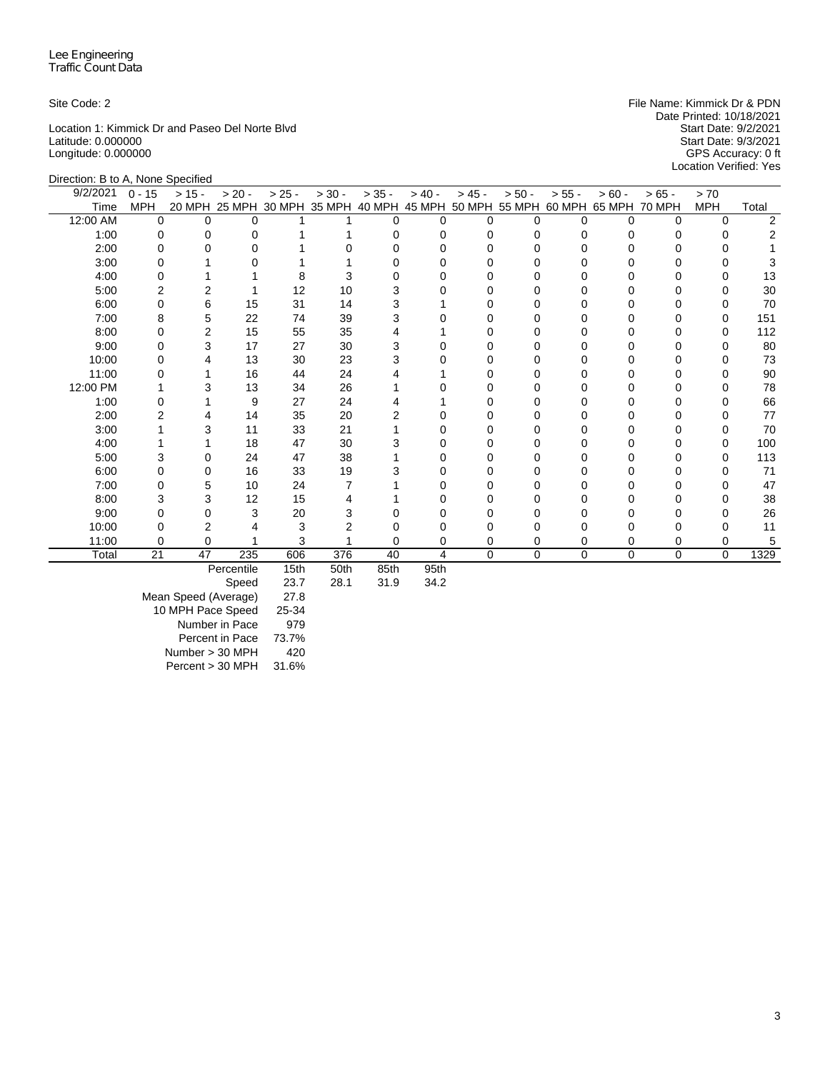Location 1: Kimmick Dr and Paseo Del Norte Blvd<br>
Latitude: 0.000000<br>
Start Date: 9/3/2021 Latitude: 0.000000 Start Date: 9/3/2021 Longitude: 0.000000 GPS Accuracy: 0 ft

Site Code: 2 **File Name: Kimmick Dr & PDN** File Name: Kimmick Dr & PDN Date Printed: 10/18/2021<br>Start Date: 9/2/2021 Location Verified: Yes

| Direction: B to A, None Specified |            |          |            |          |                             |          |           |          |                             |          |          |               |            |       |
|-----------------------------------|------------|----------|------------|----------|-----------------------------|----------|-----------|----------|-----------------------------|----------|----------|---------------|------------|-------|
| 9/2/2021                          | $0 - 15$   | $> 15 -$ | $> 20 -$   | $> 25 -$ | $> 30 -$                    | $> 35 -$ | $> 40 -$  | $> 45 -$ | $> 50 -$                    | $> 55 -$ | $> 60 -$ | $>65 -$       | > 70       |       |
| Time                              | <b>MPH</b> |          |            |          | 20 MPH 25 MPH 30 MPH 35 MPH | 40 MPH   |           |          | 45 MPH 50 MPH 55 MPH 60 MPH |          | 65 MPH   | <b>70 MPH</b> | <b>MPH</b> | Total |
| 12:00 AM                          | $\Omega$   | O        | $\Omega$   |          |                             | $\Omega$ | U         | $\Omega$ | U                           | $\Omega$ | $\Omega$ | U             | 0          | 2     |
| 1:00                              | O          |          |            |          |                             |          |           | O        |                             |          |          |               |            |       |
| 2:00                              |            |          |            |          |                             |          |           |          |                             |          |          |               |            |       |
| 3:00                              | O          |          | O          |          |                             |          |           | O        | o                           |          |          |               | O          |       |
| 4:00                              |            |          |            | 8        |                             |          |           |          |                             |          |          |               | 0          | 13    |
| 5:00                              |            |          |            | 12       | 10                          |          |           | U        |                             |          |          |               | O          | 30    |
| 6:00                              | 0          | 6        | 15         | 31       | 14                          |          |           | O        |                             |          |          |               | O          | 70    |
| 7:00                              | 8          | 5        | 22         | 74       | 39                          |          |           |          |                             |          |          |               | 0          | 151   |
| 8:00                              | O          |          | 15         | 55       | 35                          |          |           | n        |                             |          |          |               | 0          | 112   |
| 9:00                              |            | 3        | 17         | 27       | 30                          | 3        |           |          |                             |          |          |               | O          | 80    |
| 10:00                             |            |          | 13         | 30       | 23                          |          |           |          |                             |          |          |               | O          | 73    |
| 11:00                             |            |          | 16         | 44       | 24                          |          |           |          |                             |          |          |               | O          | 90    |
| 12:00 PM                          |            |          | 13         | 34       | 26                          |          |           | 0        | ი                           |          |          |               | 0          | 78    |
| 1:00                              |            |          | 9          | 27       | 24                          |          |           | O        | o                           |          |          |               | 0          | 66    |
| 2:00                              |            |          | 14         | 35       | 20                          |          |           |          |                             |          |          |               |            | 77    |
| 3:00                              |            |          | 11         | 33       | 21                          |          |           | O        |                             |          |          |               | O          | 70    |
| 4:00                              |            |          | 18         | 47       | 30                          | з        |           | O        | o                           |          |          |               | 0          | 100   |
| 5:00                              | 3          |          | 24         | 47       | 38                          |          |           |          |                             |          |          |               | 0          | 113   |
| 6:00                              |            |          | 16         | 33       | 19                          |          |           |          |                             |          |          |               | O          | 71    |
| 7:00                              | U          | 5        | 10         | 24       |                             |          |           | O        | o                           |          |          |               | O          | 47    |
| 8:00                              | 3          |          | 12         | 15       |                             |          |           |          |                             |          |          |               |            | 38    |
| 9:00                              |            |          | 3          | 20       |                             |          |           |          |                             |          |          |               |            | 26    |
| 10:00                             |            |          |            | 3        |                             |          |           | O        | ი                           |          |          |               | O          | 11    |
| 11:00                             |            | 0        |            | 3        |                             |          | 0         | 0        | 0                           | 0        |          | 0             | 0          | 5     |
| Total                             | 21         | 47       | 235        | 606      | 376                         | 40       | 4         | $\Omega$ | $\mathbf 0$                 | $\Omega$ | $\Omega$ | 0             | 0          | 1329  |
|                                   |            |          | Derooptile | $4E+h$   | $E$ $O$ <sup>+</sup> $h$    | 0Fth     | $O E + h$ |          |                             |          |          |               |            |       |

Percentile 15th 50th 85th 95th

Mean Speed (Average) 27.8 10 MPH Pace Speed 25-34 Number in Pace 979 Percent in Pace 73.7% Number > 30 MPH 420 Percent > 30 MPH 31.6%

Speed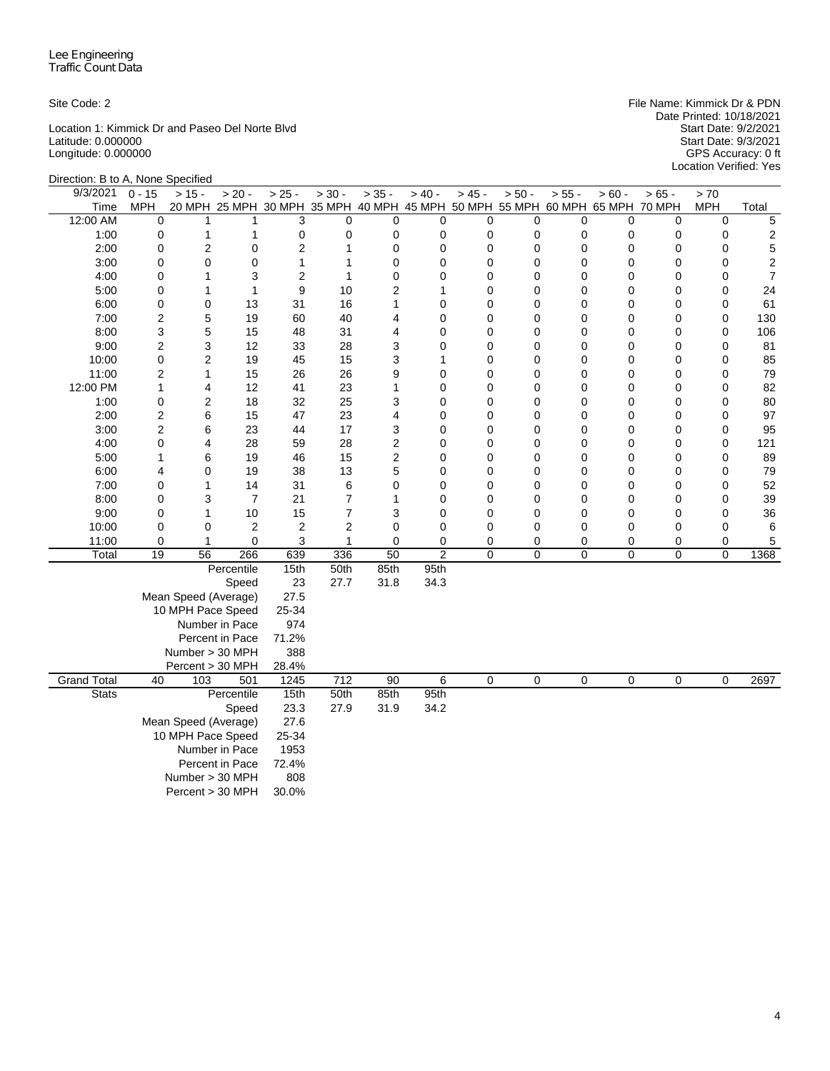Location 1: Kimmick Dr and Paseo Del Norte Blvd Start Date: 9/2/2021 Latitude: 0.000000 Start Date: 9/3/2021 Longitude: 0.000000 GPS Accuracy: 0 ft

Site Code: 2 File Name: Kimmick Dr & PDN Date Printed: 10/18/2021 Start Date: 9/2/2021<br>Start Date: 9/3/2021<br>GPS Accuracy: 0 ft<br>Location Verified: Yes

| Direction: B to A, None Specified |                                                                      |                     |                  |                                                                              |                |                 |                |                            |             |                  |             |             |                            |                |
|-----------------------------------|----------------------------------------------------------------------|---------------------|------------------|------------------------------------------------------------------------------|----------------|-----------------|----------------|----------------------------|-------------|------------------|-------------|-------------|----------------------------|----------------|
| 9/3/2021                          | $0 - 15$                                                             | $> 15 -$            | $> 20 -$         | $> 25 -$                                                                     | $> 30 -$       | $> 35 -$        | $> 40 -$       | $> 45 -$                   | $> 50 -$    | $> 55 -$         | $> 60 -$    | $> 65 -$    | > 70                       |                |
| Time                              | MPH                                                                  |                     |                  | 20 MPH 25 MPH 30 MPH 35 MPH 40 MPH 45 MPH 50 MPH 55 MPH 60 MPH 65 MPH 70 MPH |                |                 |                |                            |             |                  |             |             | <b>MPH</b>                 | Total          |
| 12:00 AM                          | 0                                                                    | 1                   | 1                | 3                                                                            | 0              | 0               | 0              | 0                          | 0           | $\mathbf 0$      | $\mathbf 0$ | 0           | 0                          | 5              |
| 1:00                              | 0                                                                    | 1                   | $\mathbf{1}$     | 0                                                                            | 0              | 0               | 0              | 0                          | 0           | $\mathbf 0$      | 0           | 0           | 0                          | $\overline{c}$ |
| 2:00                              | 0                                                                    | 2                   | $\mathbf 0$      | 2                                                                            | 1              | 0               | 0              | $\mathbf 0$                | 0           | $\mathbf 0$      | 0           | 0           | $\mathbf 0$                | 5              |
| 3:00                              | $\mathbf 0$                                                          | $\mathbf 0$         | $\mathbf 0$      | 1                                                                            | 1              | 0               | 0              | $\mathbf 0$                | 0           | 0                | 0           | 0           | 0                          | $\overline{c}$ |
| 4:00                              | 0                                                                    | 1                   | 3                | $\overline{2}$                                                               | 1              | 0               | 0              | $\mathbf 0$                | 0           | $\mathbf 0$      | 0           | 0           | $\mathbf 0$                | $\overline{7}$ |
| 5:00                              | $\mathbf 0$                                                          | 1                   | $\mathbf{1}$     | 9                                                                            | 10             | $\overline{2}$  | 1              | $\mathbf 0$                | 0           | $\mathbf 0$      | 0           | 0           | $\mathbf 0$                | 24             |
| 6:00                              | 0                                                                    | 0                   | 13               | 31                                                                           | 16             | 1               | 0              | $\mathbf 0$                | 0           | 0                | 0           | 0           | 0                          | 61             |
| 7:00                              | 2                                                                    | 5                   | 19               | 60                                                                           | 40             | 4               | 0              | $\mathbf 0$                | 0           | $\mathbf 0$      | 0           | 0           | $\mathbf 0$                | 130            |
| 8:00                              | 3                                                                    | 5                   | 15               | 48                                                                           | 31             | 4               | 0              | $\mathbf 0$                | 0           | $\mathbf 0$      | 0           | 0           | $\mathbf 0$                | 106            |
| 9:00                              | $\overline{c}$                                                       | 3                   | 12               | 33                                                                           | 28             | 3               | 0              | $\mathbf 0$                | 0           | 0                | 0           | 0           | $\mathbf 0$                | 81             |
| 10:00                             | 0                                                                    | $\overline{2}$      | 19               | 45                                                                           | 15             | 3               | 1              | $\mathbf 0$                | 0           | $\mathbf 0$      | 0           | $\mathbf 0$ | $\mathbf 0$                | 85             |
| 11:00                             | $\overline{2}$<br>$\mathbf{1}$                                       | 1                   | 15<br>12         | 26                                                                           | 26             | 9<br>1          | 0              | $\mathbf 0$<br>$\mathbf 0$ | 0           | $\mathbf 0$      | 0           | 0           | $\mathbf 0$<br>$\mathbf 0$ | 79             |
| 12:00 PM<br>1:00                  | $\mathbf 0$                                                          | 4<br>$\overline{2}$ | 18               | 41<br>32                                                                     | 23<br>25       | 3               | 0<br>0         | $\mathbf 0$                | 0<br>0      | 0<br>$\mathbf 0$ | 0<br>0      | 0<br>0      | $\mathbf 0$                | 82<br>80       |
| 2:00                              | $\overline{2}$                                                       | 6                   | 15               | 47                                                                           | 23             | 4               | 0              | 0                          | 0           | $\mathbf 0$      | 0           | 0           | $\mathbf 0$                | 97             |
| 3:00                              | $\overline{c}$                                                       | 6                   | 23               | 44                                                                           | 17             | 3               | 0              | $\mathbf 0$                | 0           | 0                | 0           | 0           | $\mathbf 0$                | 95             |
| 4:00                              | 0                                                                    | 4                   | 28               | 59                                                                           | 28             | $\overline{c}$  | 0              | $\mathbf 0$                | 0           | $\mathbf 0$      | 0           | 0           | $\mathbf 0$                | 121            |
| 5:00                              | $\mathbf{1}$                                                         | 6                   | 19               | 46                                                                           | 15             | $\overline{c}$  | 0              | $\mathbf 0$                | $\mathbf 0$ | $\mathbf 0$      | 0           | 0           | $\mathbf 0$                | 89             |
| 6:00                              | 4                                                                    | 0                   | 19               | 38                                                                           | 13             | 5               | 0              | $\mathbf 0$                | 0           | 0                | 0           | 0           | $\mathbf 0$                | 79             |
| 7:00                              | $\mathbf 0$                                                          | 1                   | 14               | 31                                                                           | 6              | 0               | 0              | $\mathbf 0$                | 0           | 0                | 0           | 0           | $\mathbf 0$                | 52             |
| 8:00                              | $\mathbf 0$                                                          | 3                   | $\overline{7}$   | 21                                                                           | $\overline{7}$ | 1               | 0              | 0                          | 0           | 0                | 0           | 0           | 0                          | 39             |
| 9:00                              | 0                                                                    | 1                   | 10               | 15                                                                           | $\overline{7}$ | 3               | 0              | 0                          | 0           | 0                | 0           | 0           | 0                          | 36             |
| 10:00                             | 0                                                                    | 0                   | $\boldsymbol{2}$ | $\overline{\mathbf{c}}$                                                      | 2              | 0               | 0              | 0                          | 0           | $\mathbf 0$      | 0           | 0           | 0                          | 6              |
| 11:00                             | 0                                                                    | $\mathbf{1}$        | $\mathbf 0$      | 3                                                                            | $\mathbf{1}$   | 0               | $\mathbf 0$    | 0                          | 0           | 0                | 0           | 0           | 0                          | 5              |
| Total                             | 19                                                                   | 56                  | 266              | 639                                                                          | 336            | $\overline{50}$ | $\overline{c}$ | $\overline{0}$             | 0           | 0                | 0           | 0           | $\overline{0}$             | 1368           |
|                                   |                                                                      |                     | Percentile       | 15th                                                                         | 50th           | 85th            | 95th           |                            |             |                  |             |             |                            |                |
|                                   | Speed<br>Mean Speed (Average)<br>10 MPH Pace Speed<br>Number in Pace |                     |                  |                                                                              | 27.7           | 31.8            | 34.3           |                            |             |                  |             |             |                            |                |
|                                   |                                                                      |                     |                  |                                                                              |                |                 |                |                            |             |                  |             |             |                            |                |
|                                   |                                                                      |                     |                  |                                                                              |                |                 |                |                            |             |                  |             |             |                            |                |
|                                   |                                                                      |                     |                  |                                                                              |                |                 |                |                            |             |                  |             |             |                            |                |
|                                   | Percent in Pace                                                      |                     |                  |                                                                              |                |                 |                |                            |             |                  |             |             |                            |                |
|                                   |                                                                      | Number > 30 MPH     |                  | 388<br>28.4%                                                                 |                |                 |                |                            |             |                  |             |             |                            |                |
|                                   | Percent > 30 MPH                                                     |                     |                  |                                                                              |                |                 |                |                            |             |                  |             |             |                            |                |
| <b>Grand Total</b>                | 501<br>40<br>103                                                     |                     |                  | 1245<br>15th                                                                 | 712            | 90              | 6              | 0                          | 0           | $\mathbf 0$      | $\mathbf 0$ | $\mathbf 0$ | 0                          | 2697           |
|                                   | <b>Stats</b><br>Percentile                                           |                     |                  |                                                                              | 50th           | 85th            | 95th           |                            |             |                  |             |             |                            |                |
|                                   |                                                                      |                     | Speed            | 23.3                                                                         | 27.9           | 31.9            | 34.2           |                            |             |                  |             |             |                            |                |
| Mean Speed (Average)              |                                                                      |                     | 27.6<br>25-34    |                                                                              |                |                 |                |                            |             |                  |             |             |                            |                |
|                                   |                                                                      | 10 MPH Pace Speed   |                  |                                                                              |                |                 |                |                            |             |                  |             |             |                            |                |
|                                   |                                                                      |                     | Number in Pace   | 1953                                                                         |                |                 |                |                            |             |                  |             |             |                            |                |
|                                   |                                                                      |                     | Percent in Pace  | 72.4%<br>808                                                                 |                |                 |                |                            |             |                  |             |             |                            |                |
|                                   | Number > 30 MPH<br>Percent > 30 MPH                                  |                     |                  |                                                                              |                |                 |                |                            |             |                  |             |             |                            |                |
|                                   | 30.0%                                                                |                     |                  |                                                                              |                |                 |                |                            |             |                  |             |             |                            |                |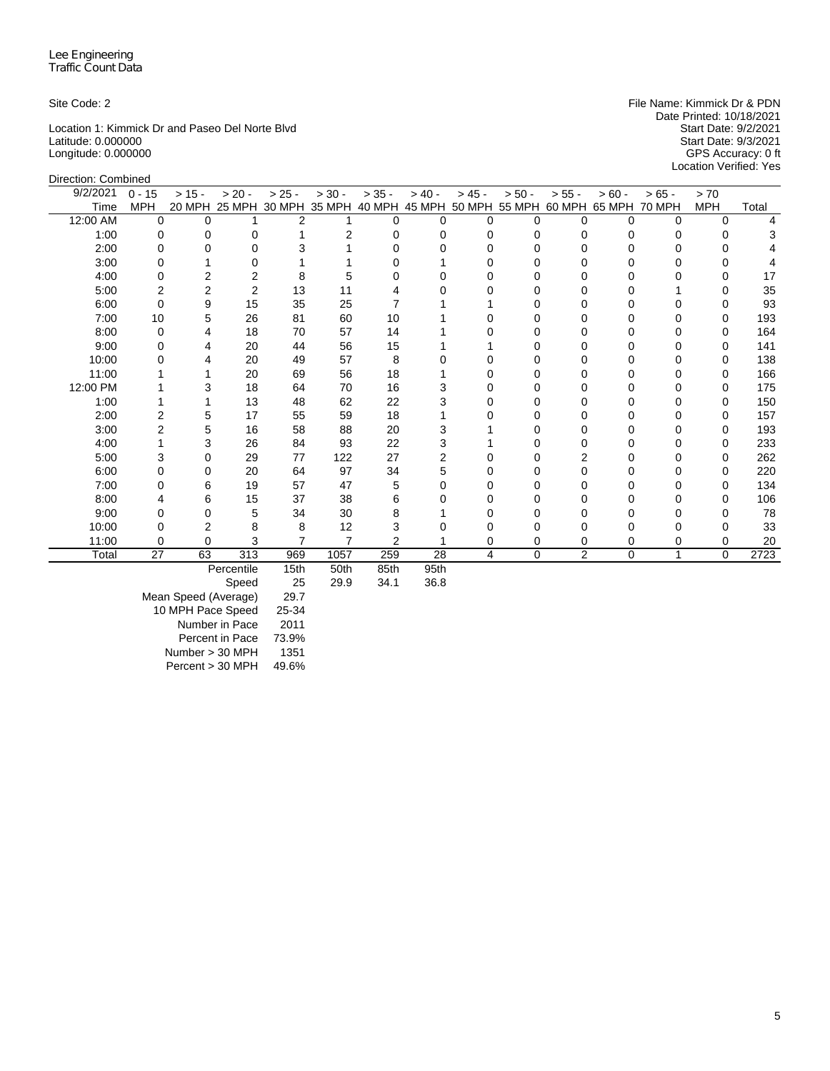Location 1: Kimmick Dr and Paseo Del Norte Blvd<br>
Latitude: 0.000000<br>
Start Date: 9/3/2021 Latitude: 0.000000 Start Date: 9/3/2021 Longitude: 0.000000 GPS Accuracy: 0 ft

Site Code: 2 **File Name: Kimmick Dr & PDN** File Name: Kimmick Dr & PDN Date Printed: 10/18/2021<br>Start Date: 9/2/2021 Location Verified: Yes

| Direction: Combined |                |          |                      |                |                |                |                                    |          |          |                |               |             |            |       |
|---------------------|----------------|----------|----------------------|----------------|----------------|----------------|------------------------------------|----------|----------|----------------|---------------|-------------|------------|-------|
| 9/2/2021            | $0 - 15$       | $> 15 -$ | $> 20 -$             | $> 25 -$       | $> 30 -$       | $> 35 -$       | $> 40 -$                           | $> 45 -$ | $> 50 -$ | $> 55 -$       | $> 60 -$      | $>65 -$     | > 70       |       |
| Time                | <b>MPH</b>     |          | 20 MPH 25 MPH 30 MPH |                | 35 MPH         |                | 40 MPH 45 MPH 50 MPH 55 MPH 60 MPH |          |          |                | 65 MPH 70 MPH |             | <b>MPH</b> | Total |
| 12:00 AM            | $\Omega$       | $\Omega$ |                      | 2              |                | 0              | $\Omega$                           | $\Omega$ | $\Omega$ | $\Omega$       | 0             | 0           | $\Omega$   | 4     |
| 1:00                | 0              | 0        | 0                    |                | $\overline{2}$ | 0              | 0                                  | $\Omega$ | 0        | 0              | 0             | 0           | 0          | 3     |
| 2:00                | O              | U        | $\Omega$             | 3              |                | O              |                                    | $\Omega$ | 0        | U              |               |             | U          |       |
| 3:00                |                |          | 0                    |                |                |                |                                    | 0        | 0        |                |               |             | O          |       |
| 4:00                | O              | 2        | 2                    | 8              | 5              |                |                                    |          |          |                |               |             | 0          | 17    |
| 5:00                | 2              | 2        | $\overline{2}$       | 13             | 11             |                |                                    |          |          |                |               |             | O          | 35    |
| 6:00                | 0              | 9        | 15                   | 35             | 25             |                |                                    |          | o        | O              |               |             | 0          | 93    |
| 7:00                | 10             | 5        | 26                   | 81             | 60             | 10             |                                    | O        | 0        | <sup>0</sup>   | በ             | O           | 0          | 193   |
| 8:00                | 0              | 4        | 18                   | 70             | 57             | 14             |                                    |          | 0        | 0              |               |             | 0          | 164   |
| 9:00                | U              |          | 20                   | 44             | 56             | 15             |                                    |          | U        | U              |               |             | 0          | 141   |
| 10:00               |                |          | 20                   | 49             | 57             | 8              |                                    | O        |          |                |               |             | 0          | 138   |
| 11:00               |                |          | 20                   | 69             | 56             | 18             |                                    | O        |          |                |               |             | 0          | 166   |
| 12:00 PM            |                | 3        | 18                   | 64             | 70             | 16             | 3                                  | O        |          | U              |               | 0           | 0          | 175   |
| 1:00                |                |          | 13                   | 48             | 62             | 22             |                                    | 0        | 0        | 0              |               | 0           | 0          | 150   |
| 2:00                | $\overline{2}$ | 5        | 17                   | 55             | 59             | 18             |                                    | ∩        | 0        | 0              |               | 0           | 0          | 157   |
| 3:00                | 2              | 5        | 16                   | 58             | 88             | 20             | 3                                  |          |          |                |               |             | 0          | 193   |
| 4:00                |                | 3        | 26                   | 84             | 93             | 22             | 3                                  |          |          | U              |               |             | 0          | 233   |
| 5:00                | 3              | 0        | 29                   | 77             | 122            | 27             | 2                                  | 0        | 0        | 2              |               | 0           | 0          | 262   |
| 6:00                | 0              | 0        | 20                   | 64             | 97             | 34             | 5                                  | ∩        | O        | 0              |               | 0           | 0          | 220   |
| 7:00                | O              | 6        | 19                   | 57             | 47             | 5              | O                                  | O        | U        | O              |               | O           | 0          | 134   |
| 8:00                |                | 6        | 15                   | 37             | 38             | 6              |                                    | 0        | 0        |                |               |             | 0          | 106   |
| 9:00                | O              | 0        | 5                    | 34             | 30             | 8              |                                    | O        | O        | U              |               |             | 0          | 78    |
| 10:00               |                | 2        | 8                    | 8              | 12             | 3              |                                    |          |          |                |               |             | 0          | 33    |
| 11:00               | $\Omega$       | 0        | 3                    | $\overline{7}$ | $\overline{7}$ | $\overline{2}$ |                                    | 0        | 0        | 0              | ი             | 0           | 0          | 20    |
| Total               | 27             | 63       | 313                  | 969            | 1057           | 259            | 28                                 | 4        | $\Omega$ | $\overline{2}$ | 0             | $\mathbf 1$ | $\Omega$   | 2723  |
|                     |                |          | Percentile           | 15th           | 50th           | 85th           | 95th                               |          |          |                |               |             |            |       |

Speed 25 29.9 34.1 36.8

Mean Speed (Average) 29.7

10 MPH Pace Speed 25-34 Number in Pace 2011 Percent in Pace 73.9% Number > 30 MPH 1351

Percent > 30 MPH 49.6%